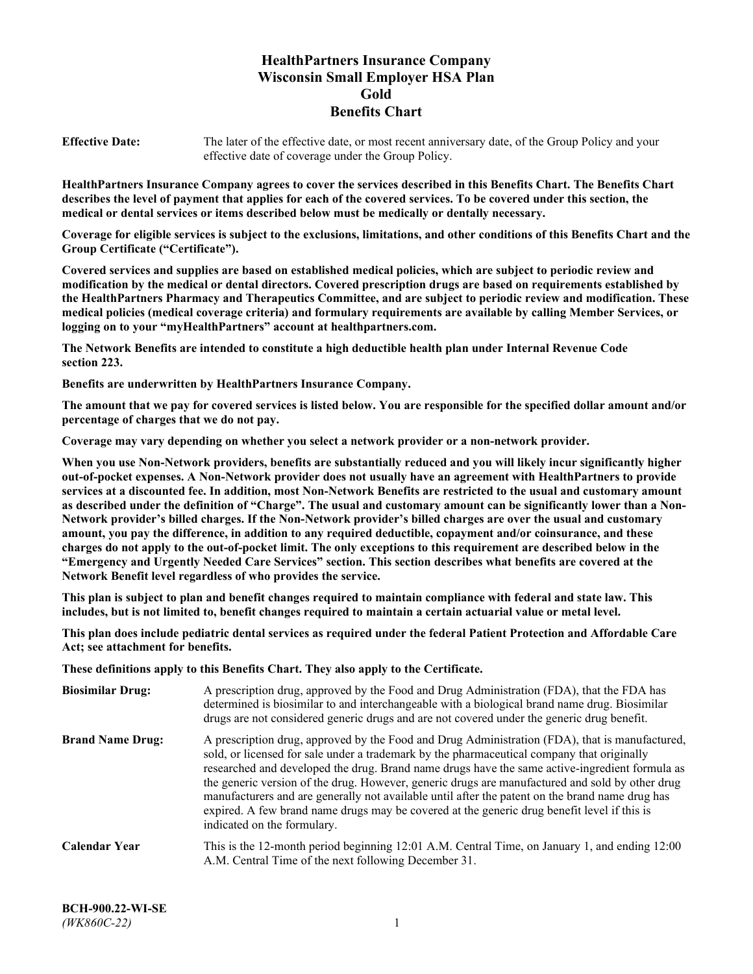# **HealthPartners Insurance Company Wisconsin Small Employer HSA Plan Gold Benefits Chart**

**Effective Date:** The later of the effective date, or most recent anniversary date, of the Group Policy and your effective date of coverage under the Group Policy.

**HealthPartners Insurance Company agrees to cover the services described in this Benefits Chart. The Benefits Chart describes the level of payment that applies for each of the covered services. To be covered under this section, the medical or dental services or items described below must be medically or dentally necessary.**

**Coverage for eligible services is subject to the exclusions, limitations, and other conditions of this Benefits Chart and the Group Certificate ("Certificate").**

**Covered services and supplies are based on established medical policies, which are subject to periodic review and modification by the medical or dental directors. Covered prescription drugs are based on requirements established by the HealthPartners Pharmacy and Therapeutics Committee, and are subject to periodic review and modification. These medical policies (medical coverage criteria) and formulary requirements are available by calling Member Services, or logging on to your "myHealthPartners" account at [healthpartners.com.](https://www.healthpartners.com/hp/index.html)**

**The Network Benefits are intended to constitute a high deductible health plan under Internal Revenue Code section 223.**

**Benefits are underwritten by HealthPartners Insurance Company.**

**The amount that we pay for covered services is listed below. You are responsible for the specified dollar amount and/or percentage of charges that we do not pay.**

**Coverage may vary depending on whether you select a network provider or a non-network provider.**

**When you use Non-Network providers, benefits are substantially reduced and you will likely incur significantly higher out-of-pocket expenses. A Non-Network provider does not usually have an agreement with HealthPartners to provide services at a discounted fee. In addition, most Non-Network Benefits are restricted to the usual and customary amount as described under the definition of "Charge". The usual and customary amount can be significantly lower than a Non-Network provider's billed charges. If the Non-Network provider's billed charges are over the usual and customary amount, you pay the difference, in addition to any required deductible, copayment and/or coinsurance, and these charges do not apply to the out-of-pocket limit. The only exceptions to this requirement are described below in the "Emergency and Urgently Needed Care Services" section. This section describes what benefits are covered at the Network Benefit level regardless of who provides the service.**

**This plan is subject to plan and benefit changes required to maintain compliance with federal and state law. This includes, but is not limited to, benefit changes required to maintain a certain actuarial value or metal level.**

**This plan does include pediatric dental services as required under the federal Patient Protection and Affordable Care Act; see attachment for benefits.**

**These definitions apply to this Benefits Chart. They also apply to the Certificate.**

| <b>Biosimilar Drug:</b> | A prescription drug, approved by the Food and Drug Administration (FDA), that the FDA has<br>determined is biosimilar to and interchangeable with a biological brand name drug. Biosimilar<br>drugs are not considered generic drugs and are not covered under the generic drug benefit.                                                                                                                                                                                                                                                                                                                                           |
|-------------------------|------------------------------------------------------------------------------------------------------------------------------------------------------------------------------------------------------------------------------------------------------------------------------------------------------------------------------------------------------------------------------------------------------------------------------------------------------------------------------------------------------------------------------------------------------------------------------------------------------------------------------------|
| <b>Brand Name Drug:</b> | A prescription drug, approved by the Food and Drug Administration (FDA), that is manufactured,<br>sold, or licensed for sale under a trademark by the pharmaceutical company that originally<br>researched and developed the drug. Brand name drugs have the same active-ingredient formula as<br>the generic version of the drug. However, generic drugs are manufactured and sold by other drug<br>manufacturers and are generally not available until after the patent on the brand name drug has<br>expired. A few brand name drugs may be covered at the generic drug benefit level if this is<br>indicated on the formulary. |
| <b>Calendar Year</b>    | This is the 12-month period beginning 12:01 A.M. Central Time, on January 1, and ending 12:00<br>A.M. Central Time of the next following December 31.                                                                                                                                                                                                                                                                                                                                                                                                                                                                              |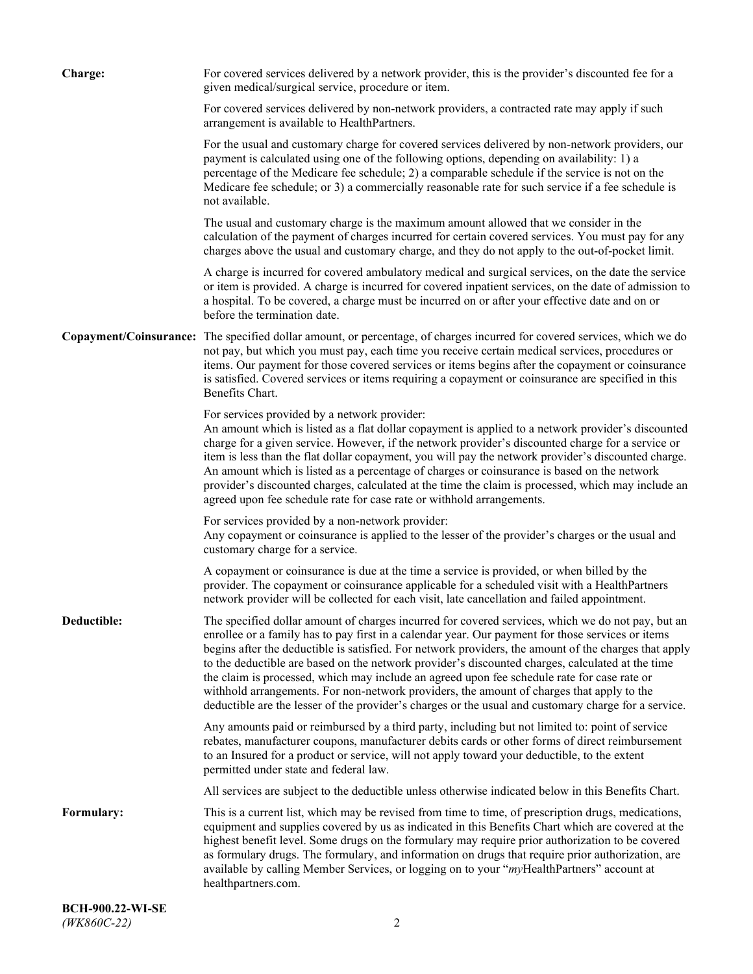| <b>Charge:</b> | For covered services delivered by a network provider, this is the provider's discounted fee for a<br>given medical/surgical service, procedure or item.                                                                                                                                                                                                                                                                                                                                                                                                                                                                                                                                                                 |
|----------------|-------------------------------------------------------------------------------------------------------------------------------------------------------------------------------------------------------------------------------------------------------------------------------------------------------------------------------------------------------------------------------------------------------------------------------------------------------------------------------------------------------------------------------------------------------------------------------------------------------------------------------------------------------------------------------------------------------------------------|
|                | For covered services delivered by non-network providers, a contracted rate may apply if such<br>arrangement is available to HealthPartners.                                                                                                                                                                                                                                                                                                                                                                                                                                                                                                                                                                             |
|                | For the usual and customary charge for covered services delivered by non-network providers, our<br>payment is calculated using one of the following options, depending on availability: 1) a<br>percentage of the Medicare fee schedule; 2) a comparable schedule if the service is not on the<br>Medicare fee schedule; or 3) a commercially reasonable rate for such service if a fee schedule is<br>not available.                                                                                                                                                                                                                                                                                                   |
|                | The usual and customary charge is the maximum amount allowed that we consider in the<br>calculation of the payment of charges incurred for certain covered services. You must pay for any<br>charges above the usual and customary charge, and they do not apply to the out-of-pocket limit.                                                                                                                                                                                                                                                                                                                                                                                                                            |
|                | A charge is incurred for covered ambulatory medical and surgical services, on the date the service<br>or item is provided. A charge is incurred for covered inpatient services, on the date of admission to<br>a hospital. To be covered, a charge must be incurred on or after your effective date and on or<br>before the termination date.                                                                                                                                                                                                                                                                                                                                                                           |
|                | Copayment/Coinsurance: The specified dollar amount, or percentage, of charges incurred for covered services, which we do<br>not pay, but which you must pay, each time you receive certain medical services, procedures or<br>items. Our payment for those covered services or items begins after the copayment or coinsurance<br>is satisfied. Covered services or items requiring a copayment or coinsurance are specified in this<br><b>Benefits Chart.</b>                                                                                                                                                                                                                                                          |
|                | For services provided by a network provider:<br>An amount which is listed as a flat dollar copayment is applied to a network provider's discounted<br>charge for a given service. However, if the network provider's discounted charge for a service or<br>item is less than the flat dollar copayment, you will pay the network provider's discounted charge.<br>An amount which is listed as a percentage of charges or coinsurance is based on the network<br>provider's discounted charges, calculated at the time the claim is processed, which may include an<br>agreed upon fee schedule rate for case rate or withhold arrangements.                                                                            |
|                | For services provided by a non-network provider:<br>Any copayment or coinsurance is applied to the lesser of the provider's charges or the usual and<br>customary charge for a service.                                                                                                                                                                                                                                                                                                                                                                                                                                                                                                                                 |
|                | A copayment or coinsurance is due at the time a service is provided, or when billed by the<br>provider. The copayment or coinsurance applicable for a scheduled visit with a HealthPartners<br>network provider will be collected for each visit, late cancellation and failed appointment.                                                                                                                                                                                                                                                                                                                                                                                                                             |
| Deductible:    | The specified dollar amount of charges incurred for covered services, which we do not pay, but an<br>enrollee or a family has to pay first in a calendar year. Our payment for those services or items<br>begins after the deductible is satisfied. For network providers, the amount of the charges that apply<br>to the deductible are based on the network provider's discounted charges, calculated at the time<br>the claim is processed, which may include an agreed upon fee schedule rate for case rate or<br>withhold arrangements. For non-network providers, the amount of charges that apply to the<br>deductible are the lesser of the provider's charges or the usual and customary charge for a service. |
|                | Any amounts paid or reimbursed by a third party, including but not limited to: point of service<br>rebates, manufacturer coupons, manufacturer debits cards or other forms of direct reimbursement<br>to an Insured for a product or service, will not apply toward your deductible, to the extent<br>permitted under state and federal law.                                                                                                                                                                                                                                                                                                                                                                            |
|                | All services are subject to the deductible unless otherwise indicated below in this Benefits Chart.                                                                                                                                                                                                                                                                                                                                                                                                                                                                                                                                                                                                                     |
| Formulary:     | This is a current list, which may be revised from time to time, of prescription drugs, medications,<br>equipment and supplies covered by us as indicated in this Benefits Chart which are covered at the<br>highest benefit level. Some drugs on the formulary may require prior authorization to be covered<br>as formulary drugs. The formulary, and information on drugs that require prior authorization, are<br>available by calling Member Services, or logging on to your "myHealthPartners" account at<br>healthpartners.com.                                                                                                                                                                                   |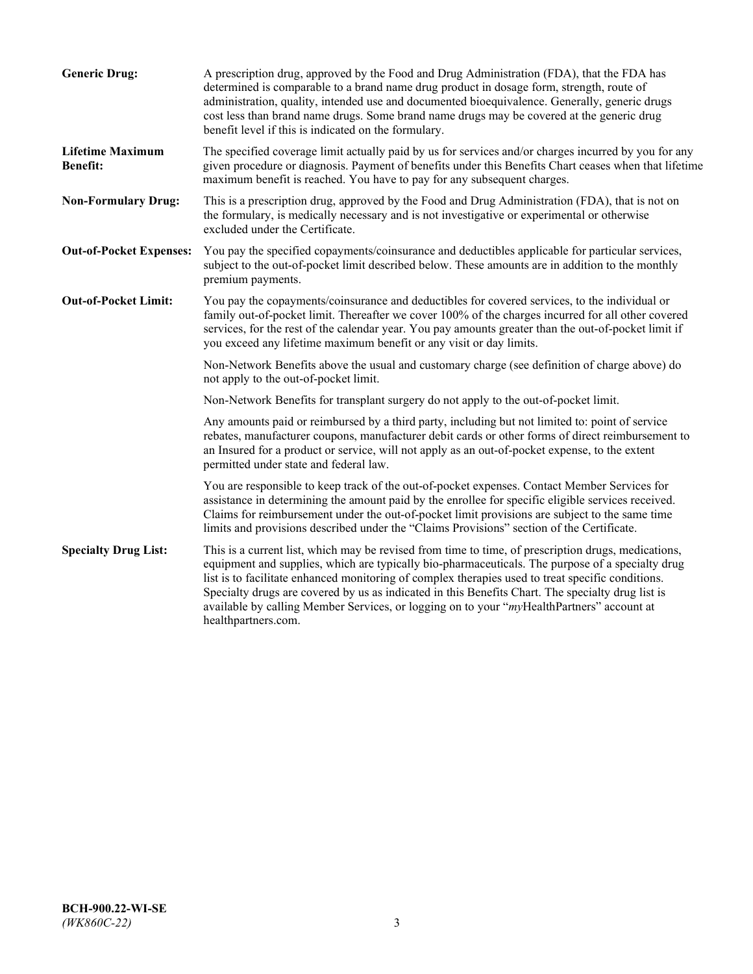| <b>Generic Drug:</b>                       | A prescription drug, approved by the Food and Drug Administration (FDA), that the FDA has<br>determined is comparable to a brand name drug product in dosage form, strength, route of<br>administration, quality, intended use and documented bioequivalence. Generally, generic drugs<br>cost less than brand name drugs. Some brand name drugs may be covered at the generic drug<br>benefit level if this is indicated on the formulary.                                                                                           |
|--------------------------------------------|---------------------------------------------------------------------------------------------------------------------------------------------------------------------------------------------------------------------------------------------------------------------------------------------------------------------------------------------------------------------------------------------------------------------------------------------------------------------------------------------------------------------------------------|
| <b>Lifetime Maximum</b><br><b>Benefit:</b> | The specified coverage limit actually paid by us for services and/or charges incurred by you for any<br>given procedure or diagnosis. Payment of benefits under this Benefits Chart ceases when that lifetime<br>maximum benefit is reached. You have to pay for any subsequent charges.                                                                                                                                                                                                                                              |
| <b>Non-Formulary Drug:</b>                 | This is a prescription drug, approved by the Food and Drug Administration (FDA), that is not on<br>the formulary, is medically necessary and is not investigative or experimental or otherwise<br>excluded under the Certificate.                                                                                                                                                                                                                                                                                                     |
| <b>Out-of-Pocket Expenses:</b>             | You pay the specified copayments/coinsurance and deductibles applicable for particular services,<br>subject to the out-of-pocket limit described below. These amounts are in addition to the monthly<br>premium payments.                                                                                                                                                                                                                                                                                                             |
| <b>Out-of-Pocket Limit:</b>                | You pay the copayments/coinsurance and deductibles for covered services, to the individual or<br>family out-of-pocket limit. Thereafter we cover 100% of the charges incurred for all other covered<br>services, for the rest of the calendar year. You pay amounts greater than the out-of-pocket limit if<br>you exceed any lifetime maximum benefit or any visit or day limits.                                                                                                                                                    |
|                                            | Non-Network Benefits above the usual and customary charge (see definition of charge above) do<br>not apply to the out-of-pocket limit.                                                                                                                                                                                                                                                                                                                                                                                                |
|                                            | Non-Network Benefits for transplant surgery do not apply to the out-of-pocket limit.                                                                                                                                                                                                                                                                                                                                                                                                                                                  |
|                                            | Any amounts paid or reimbursed by a third party, including but not limited to: point of service<br>rebates, manufacturer coupons, manufacturer debit cards or other forms of direct reimbursement to<br>an Insured for a product or service, will not apply as an out-of-pocket expense, to the extent<br>permitted under state and federal law.                                                                                                                                                                                      |
|                                            | You are responsible to keep track of the out-of-pocket expenses. Contact Member Services for<br>assistance in determining the amount paid by the enrollee for specific eligible services received.<br>Claims for reimbursement under the out-of-pocket limit provisions are subject to the same time<br>limits and provisions described under the "Claims Provisions" section of the Certificate.                                                                                                                                     |
| <b>Specialty Drug List:</b>                | This is a current list, which may be revised from time to time, of prescription drugs, medications,<br>equipment and supplies, which are typically bio-pharmaceuticals. The purpose of a specialty drug<br>list is to facilitate enhanced monitoring of complex therapies used to treat specific conditions.<br>Specialty drugs are covered by us as indicated in this Benefits Chart. The specialty drug list is<br>available by calling Member Services, or logging on to your "myHealthPartners" account at<br>healthpartners.com. |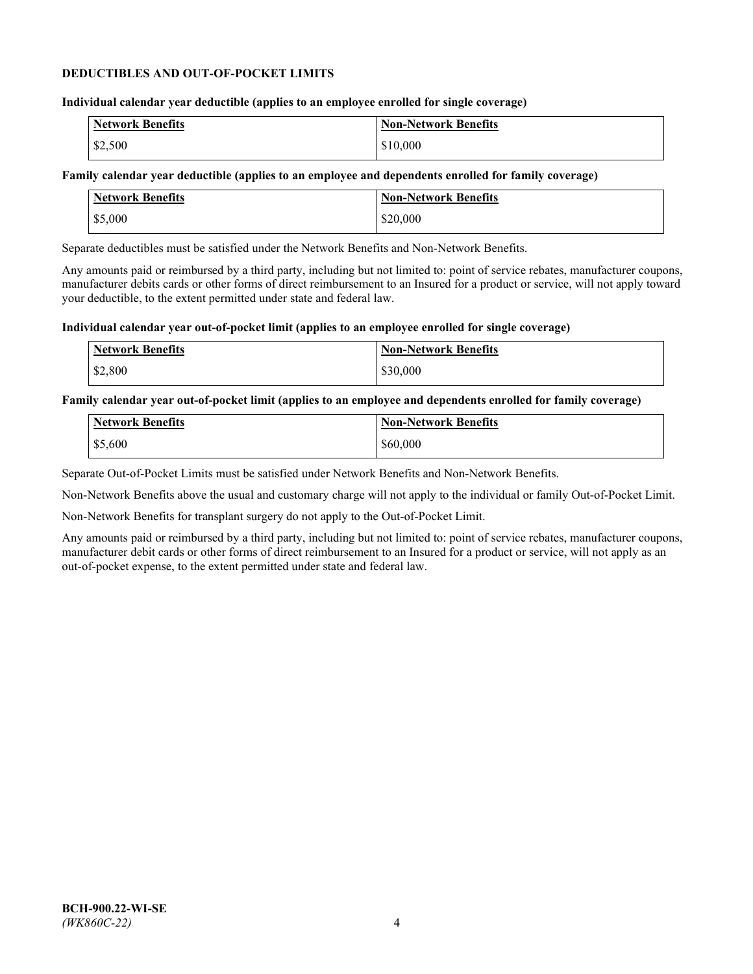## **DEDUCTIBLES AND OUT-OF-POCKET LIMITS**

## **Individual calendar year deductible (applies to an employee enrolled for single coverage)**

| Network Benefits | <b>Non-Network Benefits</b> |
|------------------|-----------------------------|
| \$2,500          | \$10,000                    |

## **Family calendar year deductible (applies to an employee and dependents enrolled for family coverage)**

| <b>Network Benefits</b> | <b>Non-Network Benefits</b> |
|-------------------------|-----------------------------|
| \$5,000                 | \$20,000                    |

Separate deductibles must be satisfied under the Network Benefits and Non-Network Benefits.

Any amounts paid or reimbursed by a third party, including but not limited to: point of service rebates, manufacturer coupons, manufacturer debits cards or other forms of direct reimbursement to an Insured for a product or service, will not apply toward your deductible, to the extent permitted under state and federal law.

## **Individual calendar year out-of-pocket limit (applies to an employee enrolled for single coverage)**

| <b>Network Benefits</b> | <b>Non-Network Benefits</b> |
|-------------------------|-----------------------------|
| \$2,800                 | \$30,000                    |

## **Family calendar year out-of-pocket limit (applies to an employee and dependents enrolled for family coverage)**

| <b>Network Benefits</b> | <b>Non-Network Benefits</b> |
|-------------------------|-----------------------------|
| \$5,600                 | \$60,000                    |

Separate Out-of-Pocket Limits must be satisfied under Network Benefits and Non-Network Benefits.

Non-Network Benefits above the usual and customary charge will not apply to the individual or family Out-of-Pocket Limit.

Non-Network Benefits for transplant surgery do not apply to the Out-of-Pocket Limit.

Any amounts paid or reimbursed by a third party, including but not limited to: point of service rebates, manufacturer coupons, manufacturer debit cards or other forms of direct reimbursement to an Insured for a product or service, will not apply as an out-of-pocket expense, to the extent permitted under state and federal law.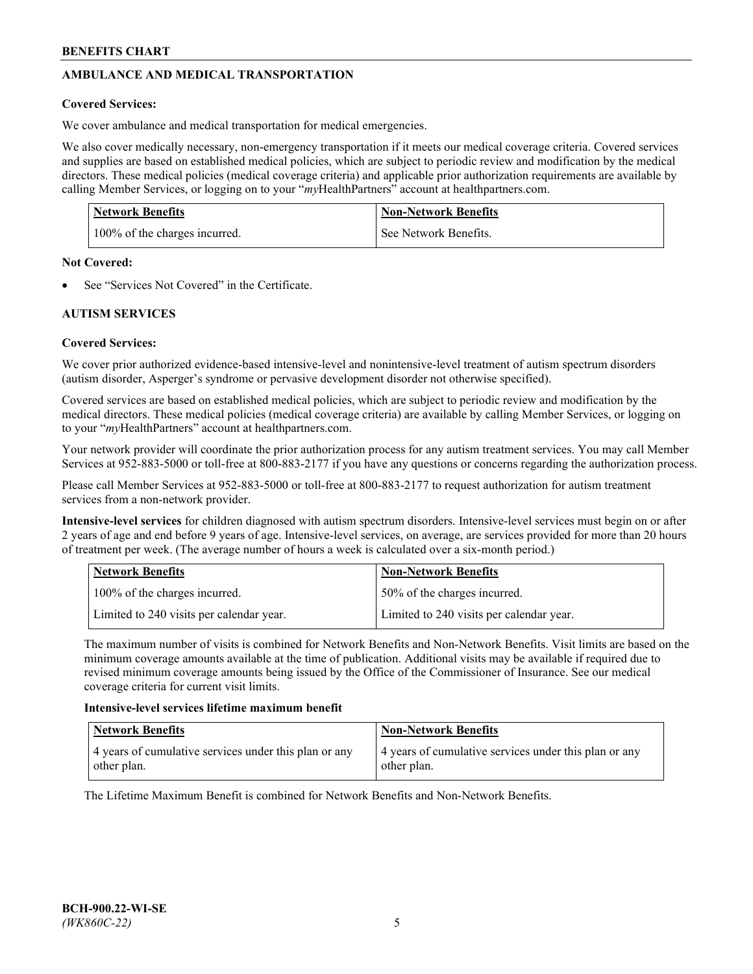# **AMBULANCE AND MEDICAL TRANSPORTATION**

# **Covered Services:**

We cover ambulance and medical transportation for medical emergencies.

We also cover medically necessary, non-emergency transportation if it meets our medical coverage criteria. Covered services and supplies are based on established medical policies, which are subject to periodic review and modification by the medical directors. These medical policies (medical coverage criteria) and applicable prior authorization requirements are available by calling Member Services, or logging on to your "*my*HealthPartners" account a[t healthpartners.com.](https://www.healthpartners.com/hp/index.html)

| <b>Network Benefits</b>       | <b>Non-Network Benefits</b> |
|-------------------------------|-----------------------------|
| 100% of the charges incurred. | See Network Benefits.       |

## **Not Covered:**

See "Services Not Covered" in the Certificate.

# **AUTISM SERVICES**

# **Covered Services:**

We cover prior authorized evidence-based intensive-level and nonintensive-level treatment of autism spectrum disorders (autism disorder, Asperger's syndrome or pervasive development disorder not otherwise specified).

Covered services are based on established medical policies, which are subject to periodic review and modification by the medical directors. These medical policies (medical coverage criteria) are available by calling Member Services, or logging on to your "*my*HealthPartners" account at [healthpartners.com.](https://www.healthpartners.com/hp/index.html)

Your network provider will coordinate the prior authorization process for any autism treatment services. You may call Member Services at 952-883-5000 or toll-free at 800-883-2177 if you have any questions or concerns regarding the authorization process.

Please call Member Services at 952-883-5000 or toll-free at 800-883-2177 to request authorization for autism treatment services from a non-network provider.

**Intensive-level services** for children diagnosed with autism spectrum disorders. Intensive-level services must begin on or after 2 years of age and end before 9 years of age. Intensive-level services, on average, are services provided for more than 20 hours of treatment per week. (The average number of hours a week is calculated over a six-month period.)

| Network Benefits                         | <b>Non-Network Benefits</b>              |
|------------------------------------------|------------------------------------------|
| 100% of the charges incurred.            | 50% of the charges incurred.             |
| Limited to 240 visits per calendar year. | Limited to 240 visits per calendar year. |

The maximum number of visits is combined for Network Benefits and Non-Network Benefits. Visit limits are based on the minimum coverage amounts available at the time of publication. Additional visits may be available if required due to revised minimum coverage amounts being issued by the Office of the Commissioner of Insurance. See our medical coverage criteria for current visit limits.

## **Intensive-level services lifetime maximum benefit**

| Network Benefits                                                     | <b>Non-Network Benefits</b>                                          |
|----------------------------------------------------------------------|----------------------------------------------------------------------|
| 4 years of cumulative services under this plan or any<br>other plan. | 4 years of cumulative services under this plan or any<br>other plan. |

The Lifetime Maximum Benefit is combined for Network Benefits and Non-Network Benefits.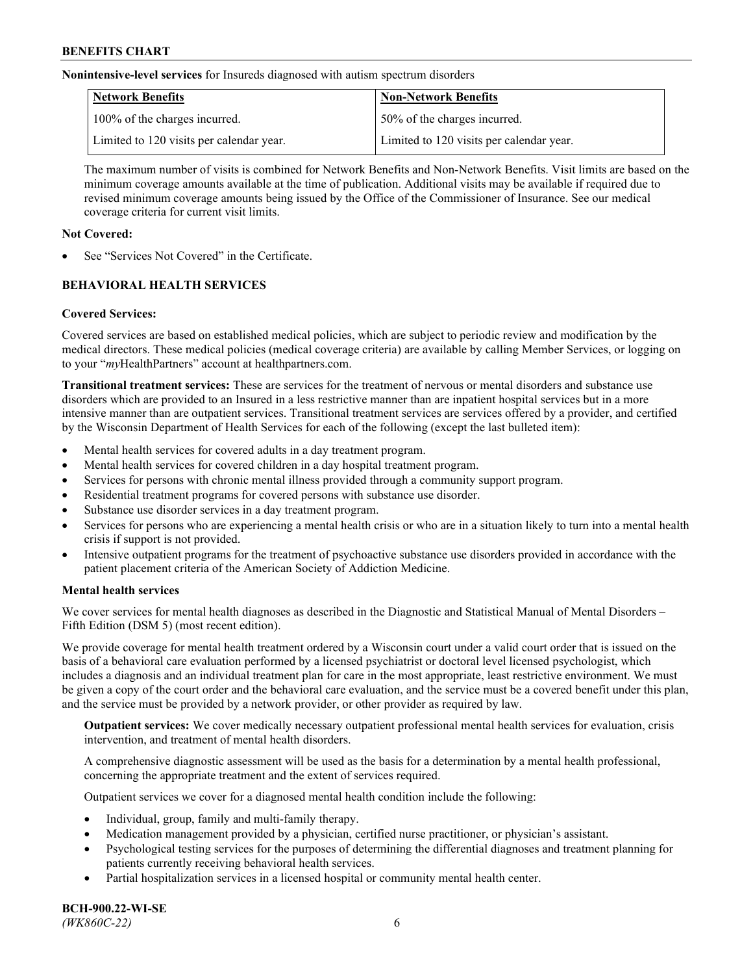**Nonintensive-level services** for Insureds diagnosed with autism spectrum disorders

| Network Benefits                         | <b>Non-Network Benefits</b>              |
|------------------------------------------|------------------------------------------|
| 100% of the charges incurred.            | 150% of the charges incurred.            |
| Limited to 120 visits per calendar year. | Limited to 120 visits per calendar year. |

The maximum number of visits is combined for Network Benefits and Non-Network Benefits. Visit limits are based on the minimum coverage amounts available at the time of publication. Additional visits may be available if required due to revised minimum coverage amounts being issued by the Office of the Commissioner of Insurance. See our medical coverage criteria for current visit limits.

## **Not Covered:**

See "Services Not Covered" in the Certificate.

# **BEHAVIORAL HEALTH SERVICES**

## **Covered Services:**

Covered services are based on established medical policies, which are subject to periodic review and modification by the medical directors. These medical policies (medical coverage criteria) are available by calling Member Services, or logging on to your "*my*HealthPartners" account at [healthpartners.com.](https://www.healthpartners.com/hp/index.html)

**Transitional treatment services:** These are services for the treatment of nervous or mental disorders and substance use disorders which are provided to an Insured in a less restrictive manner than are inpatient hospital services but in a more intensive manner than are outpatient services. Transitional treatment services are services offered by a provider, and certified by the Wisconsin Department of Health Services for each of the following (except the last bulleted item):

- Mental health services for covered adults in a day treatment program.
- Mental health services for covered children in a day hospital treatment program.
- Services for persons with chronic mental illness provided through a community support program.
- Residential treatment programs for covered persons with substance use disorder.
- Substance use disorder services in a day treatment program.
- Services for persons who are experiencing a mental health crisis or who are in a situation likely to turn into a mental health crisis if support is not provided.
- Intensive outpatient programs for the treatment of psychoactive substance use disorders provided in accordance with the patient placement criteria of the American Society of Addiction Medicine.

## **Mental health services**

We cover services for mental health diagnoses as described in the Diagnostic and Statistical Manual of Mental Disorders – Fifth Edition (DSM 5) (most recent edition).

We provide coverage for mental health treatment ordered by a Wisconsin court under a valid court order that is issued on the basis of a behavioral care evaluation performed by a licensed psychiatrist or doctoral level licensed psychologist, which includes a diagnosis and an individual treatment plan for care in the most appropriate, least restrictive environment. We must be given a copy of the court order and the behavioral care evaluation, and the service must be a covered benefit under this plan, and the service must be provided by a network provider, or other provider as required by law.

**Outpatient services:** We cover medically necessary outpatient professional mental health services for evaluation, crisis intervention, and treatment of mental health disorders.

A comprehensive diagnostic assessment will be used as the basis for a determination by a mental health professional, concerning the appropriate treatment and the extent of services required.

Outpatient services we cover for a diagnosed mental health condition include the following:

- Individual, group, family and multi-family therapy.
- Medication management provided by a physician, certified nurse practitioner, or physician's assistant.
- Psychological testing services for the purposes of determining the differential diagnoses and treatment planning for patients currently receiving behavioral health services.
- Partial hospitalization services in a licensed hospital or community mental health center.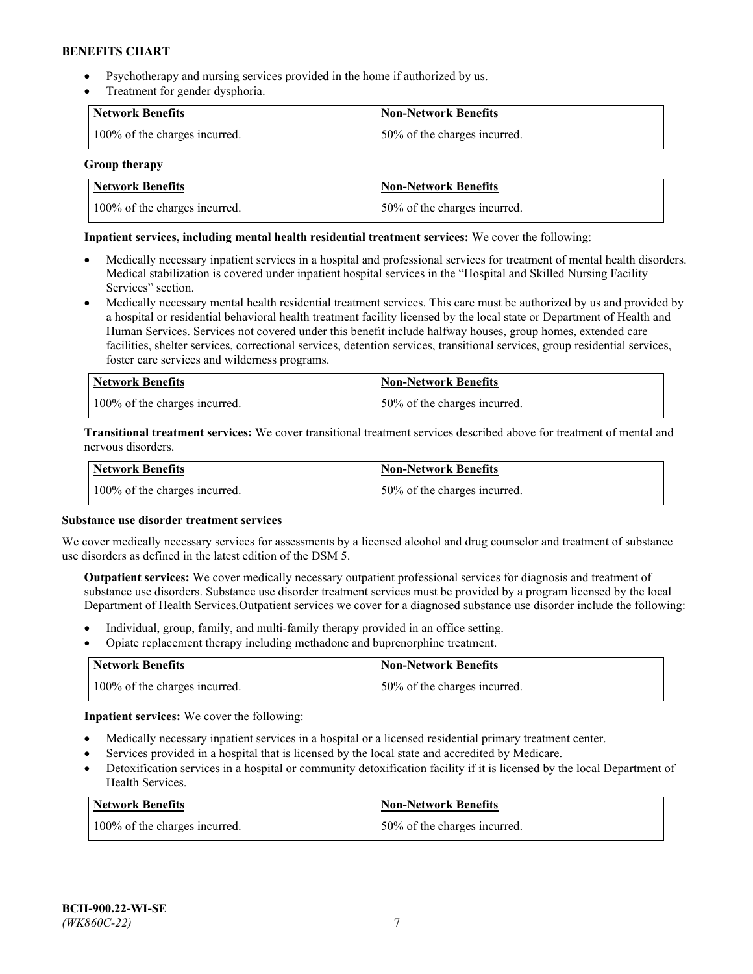- Psychotherapy and nursing services provided in the home if authorized by us.
- Treatment for gender dysphoria.

| <b>Network Benefits</b>       | <b>Non-Network Benefits</b>  |
|-------------------------------|------------------------------|
| 100% of the charges incurred. | 50% of the charges incurred. |

## **Group therapy**

| Network Benefits              | Non-Network Benefits          |
|-------------------------------|-------------------------------|
| 100% of the charges incurred. | 150% of the charges incurred. |

## **Inpatient services, including mental health residential treatment services:** We cover the following:

- Medically necessary inpatient services in a hospital and professional services for treatment of mental health disorders. Medical stabilization is covered under inpatient hospital services in the "Hospital and Skilled Nursing Facility Services" section.
- Medically necessary mental health residential treatment services. This care must be authorized by us and provided by a hospital or residential behavioral health treatment facility licensed by the local state or Department of Health and Human Services. Services not covered under this benefit include halfway houses, group homes, extended care facilities, shelter services, correctional services, detention services, transitional services, group residential services, foster care services and wilderness programs.

| <b>Network Benefits</b>       | Non-Network Benefits         |
|-------------------------------|------------------------------|
| 100% of the charges incurred. | 50% of the charges incurred. |

**Transitional treatment services:** We cover transitional treatment services described above for treatment of mental and nervous disorders.

| <b>Network Benefits</b>       | Non-Network Benefits         |
|-------------------------------|------------------------------|
| 100% of the charges incurred. | 50% of the charges incurred. |

#### **Substance use disorder treatment services**

We cover medically necessary services for assessments by a licensed alcohol and drug counselor and treatment of substance use disorders as defined in the latest edition of the DSM 5.

**Outpatient services:** We cover medically necessary outpatient professional services for diagnosis and treatment of substance use disorders. Substance use disorder treatment services must be provided by a program licensed by the local Department of Health Services.Outpatient services we cover for a diagnosed substance use disorder include the following:

- Individual, group, family, and multi-family therapy provided in an office setting.
- Opiate replacement therapy including methadone and buprenorphine treatment.

| Network Benefits              | Non-Network Benefits         |
|-------------------------------|------------------------------|
| 100% of the charges incurred. | 50% of the charges incurred. |

**Inpatient services:** We cover the following:

- Medically necessary inpatient services in a hospital or a licensed residential primary treatment center.
- Services provided in a hospital that is licensed by the local state and accredited by Medicare.
- Detoxification services in a hospital or community detoxification facility if it is licensed by the local Department of Health Services.

| Network Benefits              | <b>Non-Network Benefits</b>  |
|-------------------------------|------------------------------|
| 100% of the charges incurred. | 50% of the charges incurred. |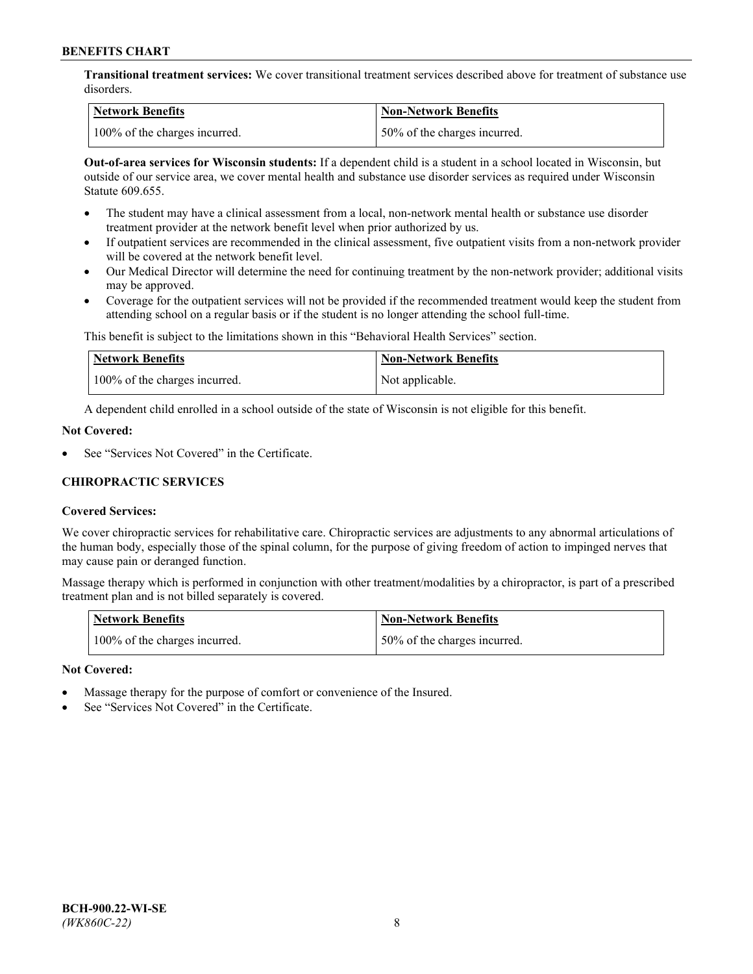**Transitional treatment services:** We cover transitional treatment services described above for treatment of substance use disorders.

| Network Benefits              | Non-Network Benefits          |
|-------------------------------|-------------------------------|
| 100% of the charges incurred. | 150% of the charges incurred. |

**Out-of-area services for Wisconsin students:** If a dependent child is a student in a school located in Wisconsin, but outside of our service area, we cover mental health and substance use disorder services as required under Wisconsin Statute 609.655.

- The student may have a clinical assessment from a local, non-network mental health or substance use disorder treatment provider at the network benefit level when prior authorized by us.
- If outpatient services are recommended in the clinical assessment, five outpatient visits from a non-network provider will be covered at the network benefit level.
- Our Medical Director will determine the need for continuing treatment by the non-network provider; additional visits may be approved.
- Coverage for the outpatient services will not be provided if the recommended treatment would keep the student from attending school on a regular basis or if the student is no longer attending the school full-time.

This benefit is subject to the limitations shown in this "Behavioral Health Services" section.

| Network Benefits              | Non-Network Benefits |
|-------------------------------|----------------------|
| 100% of the charges incurred. | Not applicable.      |

A dependent child enrolled in a school outside of the state of Wisconsin is not eligible for this benefit.

## **Not Covered:**

See "Services Not Covered" in the Certificate.

## **CHIROPRACTIC SERVICES**

## **Covered Services:**

We cover chiropractic services for rehabilitative care. Chiropractic services are adjustments to any abnormal articulations of the human body, especially those of the spinal column, for the purpose of giving freedom of action to impinged nerves that may cause pain or deranged function.

Massage therapy which is performed in conjunction with other treatment/modalities by a chiropractor, is part of a prescribed treatment plan and is not billed separately is covered.

| Network Benefits              | <b>Non-Network Benefits</b>   |
|-------------------------------|-------------------------------|
| 100% of the charges incurred. | 150% of the charges incurred. |

#### **Not Covered:**

- Massage therapy for the purpose of comfort or convenience of the Insured.
- See "Services Not Covered" in the Certificate.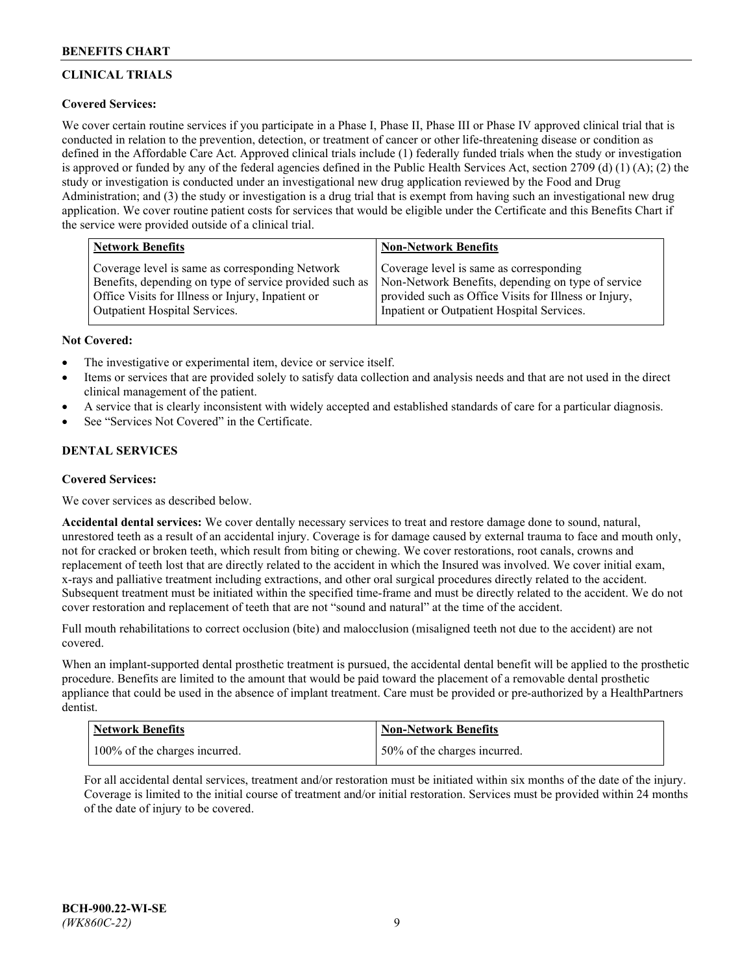# **CLINICAL TRIALS**

## **Covered Services:**

We cover certain routine services if you participate in a Phase I, Phase II, Phase III or Phase IV approved clinical trial that is conducted in relation to the prevention, detection, or treatment of cancer or other life-threatening disease or condition as defined in the Affordable Care Act. Approved clinical trials include (1) federally funded trials when the study or investigation is approved or funded by any of the federal agencies defined in the Public Health Services Act, section 2709 (d) (1) (A); (2) the study or investigation is conducted under an investigational new drug application reviewed by the Food and Drug Administration; and (3) the study or investigation is a drug trial that is exempt from having such an investigational new drug application. We cover routine patient costs for services that would be eligible under the Certificate and this Benefits Chart if the service were provided outside of a clinical trial.

| <b>Network Benefits</b>                                 | <b>Non-Network Benefits</b>                           |
|---------------------------------------------------------|-------------------------------------------------------|
| Coverage level is same as corresponding Network         | Coverage level is same as corresponding               |
| Benefits, depending on type of service provided such as | Non-Network Benefits, depending on type of service    |
| Office Visits for Illness or Injury, Inpatient or       | provided such as Office Visits for Illness or Injury, |
| Outpatient Hospital Services.                           | Inpatient or Outpatient Hospital Services.            |

## **Not Covered:**

- The investigative or experimental item, device or service itself.
- Items or services that are provided solely to satisfy data collection and analysis needs and that are not used in the direct clinical management of the patient.
- A service that is clearly inconsistent with widely accepted and established standards of care for a particular diagnosis.
- See "Services Not Covered" in the Certificate.

# **DENTAL SERVICES**

## **Covered Services:**

We cover services as described below.

**Accidental dental services:** We cover dentally necessary services to treat and restore damage done to sound, natural, unrestored teeth as a result of an accidental injury. Coverage is for damage caused by external trauma to face and mouth only, not for cracked or broken teeth, which result from biting or chewing. We cover restorations, root canals, crowns and replacement of teeth lost that are directly related to the accident in which the Insured was involved. We cover initial exam, x-rays and palliative treatment including extractions, and other oral surgical procedures directly related to the accident. Subsequent treatment must be initiated within the specified time-frame and must be directly related to the accident. We do not cover restoration and replacement of teeth that are not "sound and natural" at the time of the accident.

Full mouth rehabilitations to correct occlusion (bite) and malocclusion (misaligned teeth not due to the accident) are not covered.

When an implant-supported dental prosthetic treatment is pursued, the accidental dental benefit will be applied to the prosthetic procedure. Benefits are limited to the amount that would be paid toward the placement of a removable dental prosthetic appliance that could be used in the absence of implant treatment. Care must be provided or pre-authorized by a HealthPartners dentist.

| <b>Network Benefits</b>       | <b>Non-Network Benefits</b>  |
|-------------------------------|------------------------------|
| 100% of the charges incurred. | 50% of the charges incurred. |

For all accidental dental services, treatment and/or restoration must be initiated within six months of the date of the injury. Coverage is limited to the initial course of treatment and/or initial restoration. Services must be provided within 24 months of the date of injury to be covered.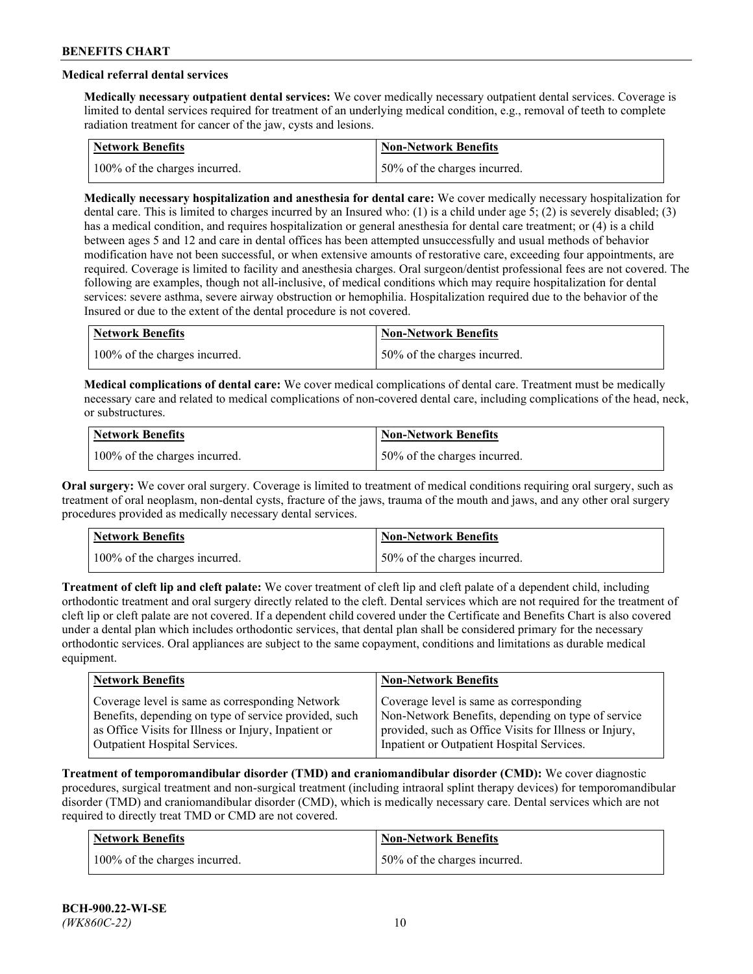# **Medical referral dental services**

**Medically necessary outpatient dental services:** We cover medically necessary outpatient dental services. Coverage is limited to dental services required for treatment of an underlying medical condition, e.g., removal of teeth to complete radiation treatment for cancer of the jaw, cysts and lesions.

| Network Benefits              | <b>Non-Network Benefits</b>  |
|-------------------------------|------------------------------|
| 100% of the charges incurred. | 50% of the charges incurred. |

**Medically necessary hospitalization and anesthesia for dental care:** We cover medically necessary hospitalization for dental care. This is limited to charges incurred by an Insured who: (1) is a child under age 5; (2) is severely disabled; (3) has a medical condition, and requires hospitalization or general anesthesia for dental care treatment; or (4) is a child between ages 5 and 12 and care in dental offices has been attempted unsuccessfully and usual methods of behavior modification have not been successful, or when extensive amounts of restorative care, exceeding four appointments, are required. Coverage is limited to facility and anesthesia charges. Oral surgeon/dentist professional fees are not covered. The following are examples, though not all-inclusive, of medical conditions which may require hospitalization for dental services: severe asthma, severe airway obstruction or hemophilia. Hospitalization required due to the behavior of the Insured or due to the extent of the dental procedure is not covered.

| Network Benefits              | <b>Non-Network Benefits</b>  |
|-------------------------------|------------------------------|
| 100% of the charges incurred. | 50% of the charges incurred. |

**Medical complications of dental care:** We cover medical complications of dental care. Treatment must be medically necessary care and related to medical complications of non-covered dental care, including complications of the head, neck, or substructures.

| Network Benefits              | Non-Network Benefits         |
|-------------------------------|------------------------------|
| 100% of the charges incurred. | 50% of the charges incurred. |

**Oral surgery:** We cover oral surgery. Coverage is limited to treatment of medical conditions requiring oral surgery, such as treatment of oral neoplasm, non-dental cysts, fracture of the jaws, trauma of the mouth and jaws, and any other oral surgery procedures provided as medically necessary dental services.

| Network Benefits              | <b>Non-Network Benefits</b>   |
|-------------------------------|-------------------------------|
| 100% of the charges incurred. | 150% of the charges incurred. |

**Treatment of cleft lip and cleft palate:** We cover treatment of cleft lip and cleft palate of a dependent child, including orthodontic treatment and oral surgery directly related to the cleft. Dental services which are not required for the treatment of cleft lip or cleft palate are not covered. If a dependent child covered under the Certificate and Benefits Chart is also covered under a dental plan which includes orthodontic services, that dental plan shall be considered primary for the necessary orthodontic services. Oral appliances are subject to the same copayment, conditions and limitations as durable medical equipment.

| <b>Network Benefits</b>                               | <b>Non-Network Benefits</b>                            |
|-------------------------------------------------------|--------------------------------------------------------|
| Coverage level is same as corresponding Network       | Coverage level is same as corresponding                |
| Benefits, depending on type of service provided, such | Non-Network Benefits, depending on type of service     |
| as Office Visits for Illness or Injury, Inpatient or  | provided, such as Office Visits for Illness or Injury, |
| Outpatient Hospital Services.                         | Inpatient or Outpatient Hospital Services.             |

**Treatment of temporomandibular disorder (TMD) and craniomandibular disorder (CMD):** We cover diagnostic procedures, surgical treatment and non-surgical treatment (including intraoral splint therapy devices) for temporomandibular disorder (TMD) and craniomandibular disorder (CMD), which is medically necessary care. Dental services which are not required to directly treat TMD or CMD are not covered.

| <b>Network Benefits</b>       | <b>Non-Network Benefits</b>   |
|-------------------------------|-------------------------------|
| 100% of the charges incurred. | 150% of the charges incurred. |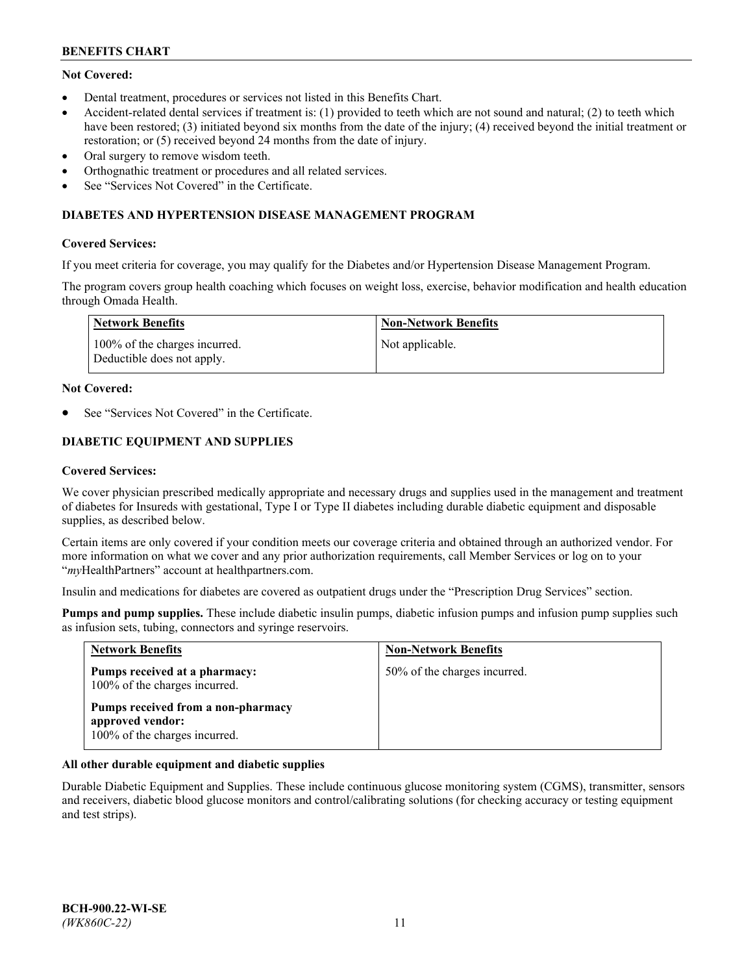# **Not Covered:**

- Dental treatment, procedures or services not listed in this Benefits Chart.
- Accident-related dental services if treatment is: (1) provided to teeth which are not sound and natural; (2) to teeth which have been restored; (3) initiated beyond six months from the date of the injury; (4) received beyond the initial treatment or restoration; or (5) received beyond 24 months from the date of injury.
- Oral surgery to remove wisdom teeth.
- Orthognathic treatment or procedures and all related services.
- See "Services Not Covered" in the Certificate.

## **DIABETES AND HYPERTENSION DISEASE MANAGEMENT PROGRAM**

## **Covered Services:**

If you meet criteria for coverage, you may qualify for the Diabetes and/or Hypertension Disease Management Program.

The program covers group health coaching which focuses on weight loss, exercise, behavior modification and health education through Omada Health.

| <b>Network Benefits</b>                                     | <b>Non-Network Benefits</b> |
|-------------------------------------------------------------|-----------------------------|
| 100% of the charges incurred.<br>Deductible does not apply. | Not applicable.             |

## **Not Covered:**

See "Services Not Covered" in the Certificate.

# **DIABETIC EQUIPMENT AND SUPPLIES**

## **Covered Services:**

We cover physician prescribed medically appropriate and necessary drugs and supplies used in the management and treatment of diabetes for Insureds with gestational, Type I or Type II diabetes including durable diabetic equipment and disposable supplies, as described below.

Certain items are only covered if your condition meets our coverage criteria and obtained through an authorized vendor. For more information on what we cover and any prior authorization requirements, call Member Services or log on to your "*my*HealthPartners" account at [healthpartners.com.](http://www.healthpartners.com/)

Insulin and medications for diabetes are covered as outpatient drugs under the "Prescription Drug Services" section.

**Pumps and pump supplies.** These include diabetic insulin pumps, diabetic infusion pumps and infusion pump supplies such as infusion sets, tubing, connectors and syringe reservoirs.

| <b>Network Benefits</b>                                                                 | <b>Non-Network Benefits</b>  |
|-----------------------------------------------------------------------------------------|------------------------------|
| Pumps received at a pharmacy:<br>100% of the charges incurred.                          | 50% of the charges incurred. |
| Pumps received from a non-pharmacy<br>approved vendor:<br>100% of the charges incurred. |                              |

## **All other durable equipment and diabetic supplies**

Durable Diabetic Equipment and Supplies. These include continuous glucose monitoring system (CGMS), transmitter, sensors and receivers, diabetic blood glucose monitors and control/calibrating solutions (for checking accuracy or testing equipment and test strips).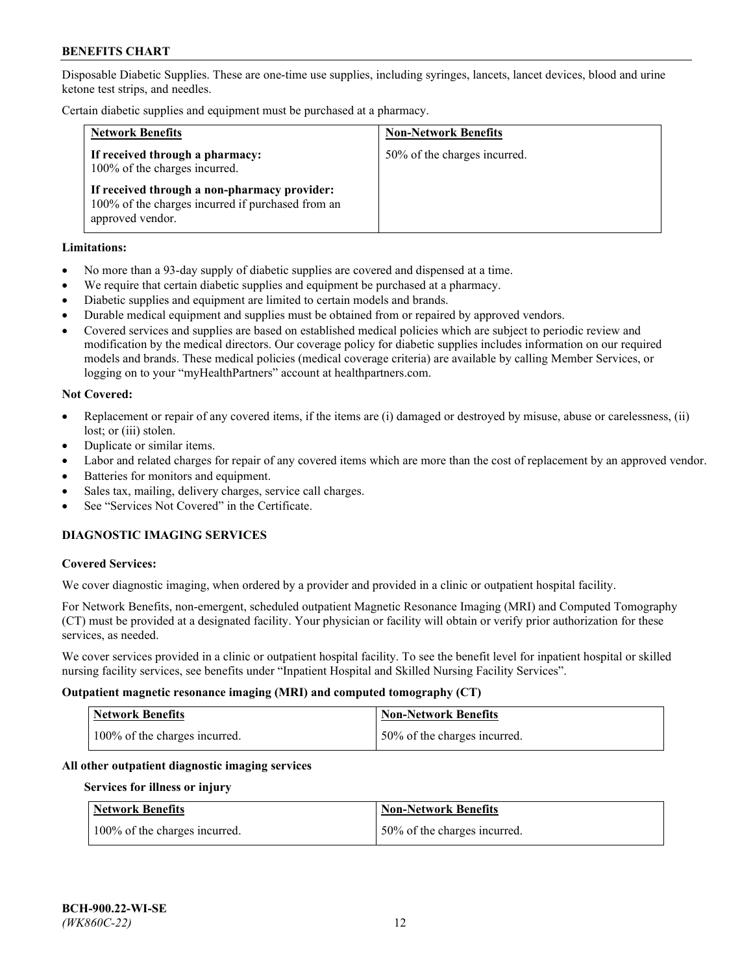Disposable Diabetic Supplies. These are one-time use supplies, including syringes, lancets, lancet devices, blood and urine ketone test strips, and needles.

Certain diabetic supplies and equipment must be purchased at a pharmacy.

| <b>Network Benefits</b>                                                                                               | <b>Non-Network Benefits</b>  |
|-----------------------------------------------------------------------------------------------------------------------|------------------------------|
| If received through a pharmacy:<br>100% of the charges incurred.                                                      | 50% of the charges incurred. |
| If received through a non-pharmacy provider:<br>100% of the charges incurred if purchased from an<br>approved vendor. |                              |

## **Limitations:**

- No more than a 93-day supply of diabetic supplies are covered and dispensed at a time.
- We require that certain diabetic supplies and equipment be purchased at a pharmacy.
- Diabetic supplies and equipment are limited to certain models and brands.
- Durable medical equipment and supplies must be obtained from or repaired by approved vendors.
- Covered services and supplies are based on established medical policies which are subject to periodic review and modification by the medical directors. Our coverage policy for diabetic supplies includes information on our required models and brands. These medical policies (medical coverage criteria) are available by calling Member Services, or logging on to your "myHealthPartners" account at [healthpartners.com.](http://www.healthpartners.com/)

## **Not Covered:**

- Replacement or repair of any covered items, if the items are (i) damaged or destroyed by misuse, abuse or carelessness, (ii) lost; or (iii) stolen.
- Duplicate or similar items.
- Labor and related charges for repair of any covered items which are more than the cost of replacement by an approved vendor.
- Batteries for monitors and equipment.
- Sales tax, mailing, delivery charges, service call charges.
- See "Services Not Covered" in the Certificate.

# **DIAGNOSTIC IMAGING SERVICES**

#### **Covered Services:**

We cover diagnostic imaging, when ordered by a provider and provided in a clinic or outpatient hospital facility.

For Network Benefits, non-emergent, scheduled outpatient Magnetic Resonance Imaging (MRI) and Computed Tomography (CT) must be provided at a designated facility. Your physician or facility will obtain or verify prior authorization for these services, as needed.

We cover services provided in a clinic or outpatient hospital facility. To see the benefit level for inpatient hospital or skilled nursing facility services, see benefits under "Inpatient Hospital and Skilled Nursing Facility Services".

## **Outpatient magnetic resonance imaging (MRI) and computed tomography (CT)**

| <b>Network Benefits</b>       | <b>Non-Network Benefits</b>  |
|-------------------------------|------------------------------|
| 100% of the charges incurred. | 50% of the charges incurred. |

#### **All other outpatient diagnostic imaging services**

#### **Services for illness or injury**

| <b>Network Benefits</b>       | <b>Non-Network Benefits</b>  |
|-------------------------------|------------------------------|
| 100% of the charges incurred. | 50% of the charges incurred. |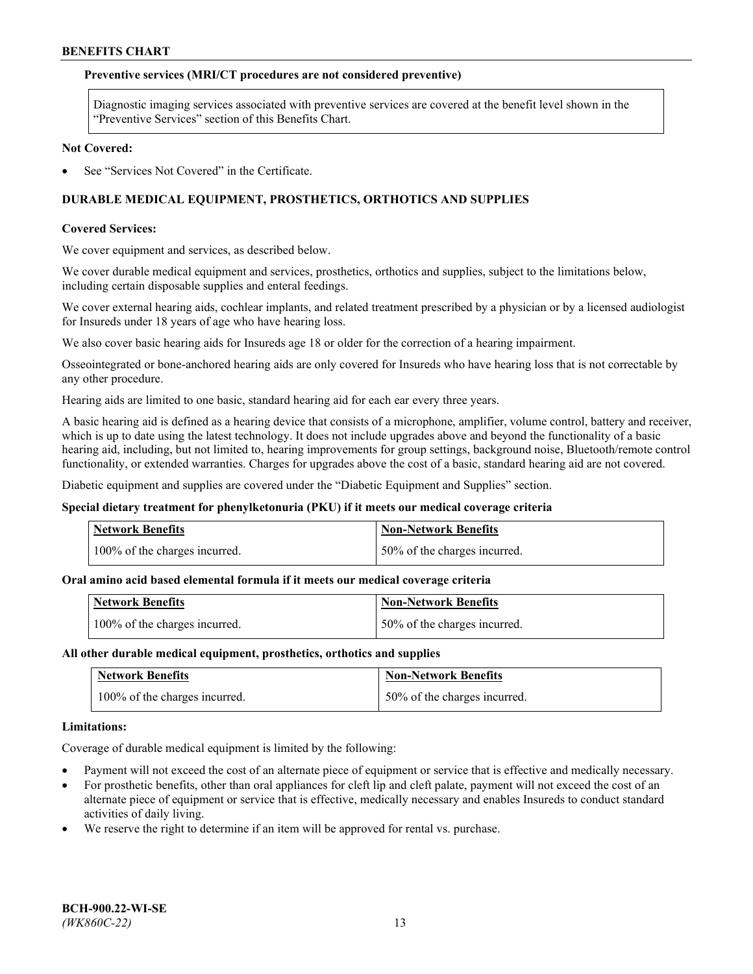## **Preventive services (MRI/CT procedures are not considered preventive)**

Diagnostic imaging services associated with preventive services are covered at the benefit level shown in the "Preventive Services" section of this Benefits Chart.

#### **Not Covered:**

See "Services Not Covered" in the Certificate.

# **DURABLE MEDICAL EQUIPMENT, PROSTHETICS, ORTHOTICS AND SUPPLIES**

#### **Covered Services:**

We cover equipment and services, as described below.

We cover durable medical equipment and services, prosthetics, orthotics and supplies, subject to the limitations below, including certain disposable supplies and enteral feedings.

We cover external hearing aids, cochlear implants, and related treatment prescribed by a physician or by a licensed audiologist for Insureds under 18 years of age who have hearing loss.

We also cover basic hearing aids for Insureds age 18 or older for the correction of a hearing impairment.

Osseointegrated or bone-anchored hearing aids are only covered for Insureds who have hearing loss that is not correctable by any other procedure.

Hearing aids are limited to one basic, standard hearing aid for each ear every three years.

A basic hearing aid is defined as a hearing device that consists of a microphone, amplifier, volume control, battery and receiver, which is up to date using the latest technology. It does not include upgrades above and beyond the functionality of a basic hearing aid, including, but not limited to, hearing improvements for group settings, background noise, Bluetooth/remote control functionality, or extended warranties. Charges for upgrades above the cost of a basic, standard hearing aid are not covered.

Diabetic equipment and supplies are covered under the "Diabetic Equipment and Supplies" section.

#### **Special dietary treatment for phenylketonuria (PKU) if it meets our medical coverage criteria**

| <b>Network Benefits</b>       | <b>Non-Network Benefits</b>  |
|-------------------------------|------------------------------|
| 100% of the charges incurred. | 50% of the charges incurred. |

#### **Oral amino acid based elemental formula if it meets our medical coverage criteria**

| <b>Network Benefits</b>       | Non-Network Benefits         |
|-------------------------------|------------------------------|
| 100% of the charges incurred. | 50% of the charges incurred. |

#### **All other durable medical equipment, prosthetics, orthotics and supplies**

| <b>Network Benefits</b>       | <b>Non-Network Benefits</b>  |
|-------------------------------|------------------------------|
| 100% of the charges incurred. | 50% of the charges incurred. |

#### **Limitations:**

Coverage of durable medical equipment is limited by the following:

- Payment will not exceed the cost of an alternate piece of equipment or service that is effective and medically necessary.
- For prosthetic benefits, other than oral appliances for cleft lip and cleft palate, payment will not exceed the cost of an alternate piece of equipment or service that is effective, medically necessary and enables Insureds to conduct standard activities of daily living.
- We reserve the right to determine if an item will be approved for rental vs. purchase.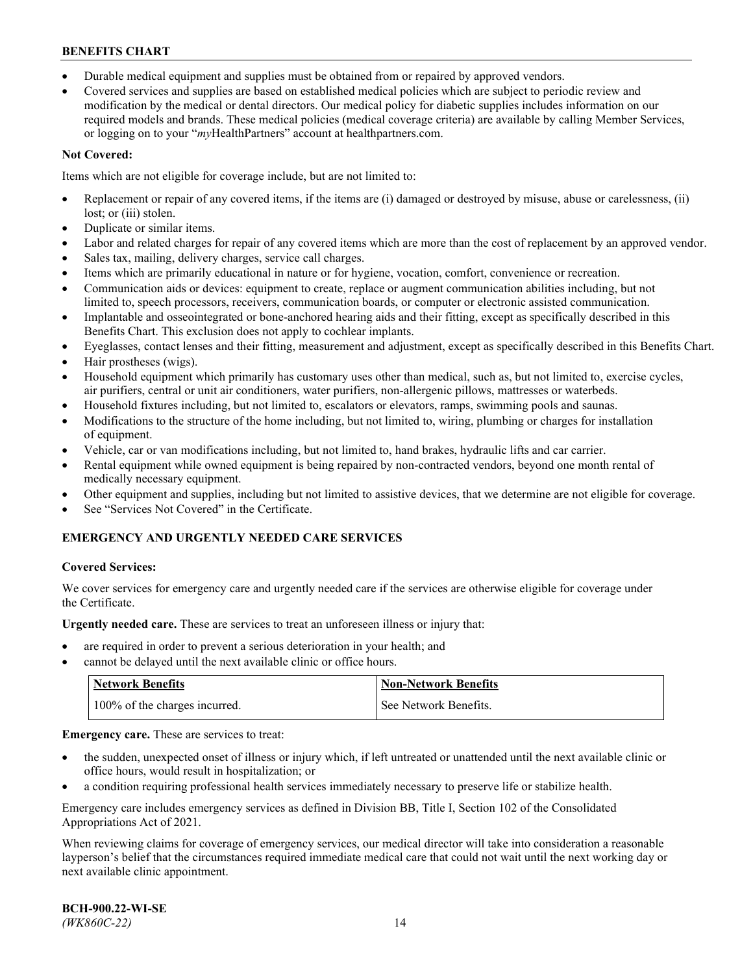- Durable medical equipment and supplies must be obtained from or repaired by approved vendors.
- Covered services and supplies are based on established medical policies which are subject to periodic review and modification by the medical or dental directors. Our medical policy for diabetic supplies includes information on our required models and brands. These medical policies (medical coverage criteria) are available by calling Member Services, or logging on to your "*my*HealthPartners" account a[t healthpartners.com.](http://www.healthpartners.com/)

# **Not Covered:**

Items which are not eligible for coverage include, but are not limited to:

- Replacement or repair of any covered items, if the items are (i) damaged or destroyed by misuse, abuse or carelessness, (ii) lost; or (iii) stolen.
- Duplicate or similar items.
- Labor and related charges for repair of any covered items which are more than the cost of replacement by an approved vendor.
- Sales tax, mailing, delivery charges, service call charges.
- Items which are primarily educational in nature or for hygiene, vocation, comfort, convenience or recreation.
- Communication aids or devices: equipment to create, replace or augment communication abilities including, but not limited to, speech processors, receivers, communication boards, or computer or electronic assisted communication.
- Implantable and osseointegrated or bone-anchored hearing aids and their fitting, except as specifically described in this Benefits Chart. This exclusion does not apply to cochlear implants.
- Eyeglasses, contact lenses and their fitting, measurement and adjustment, except as specifically described in this Benefits Chart.
- Hair prostheses (wigs).
- Household equipment which primarily has customary uses other than medical, such as, but not limited to, exercise cycles, air purifiers, central or unit air conditioners, water purifiers, non-allergenic pillows, mattresses or waterbeds.
- Household fixtures including, but not limited to, escalators or elevators, ramps, swimming pools and saunas.
- Modifications to the structure of the home including, but not limited to, wiring, plumbing or charges for installation of equipment.
- Vehicle, car or van modifications including, but not limited to, hand brakes, hydraulic lifts and car carrier.
- Rental equipment while owned equipment is being repaired by non-contracted vendors, beyond one month rental of medically necessary equipment.
- Other equipment and supplies, including but not limited to assistive devices, that we determine are not eligible for coverage.
- See "Services Not Covered" in the Certificate.

# **EMERGENCY AND URGENTLY NEEDED CARE SERVICES**

## **Covered Services:**

We cover services for emergency care and urgently needed care if the services are otherwise eligible for coverage under the Certificate.

**Urgently needed care.** These are services to treat an unforeseen illness or injury that:

- are required in order to prevent a serious deterioration in your health; and
- cannot be delayed until the next available clinic or office hours.

| <b>Network Benefits</b>       | Non-Network Benefits  |
|-------------------------------|-----------------------|
| 100% of the charges incurred. | See Network Benefits. |

**Emergency care.** These are services to treat:

- the sudden, unexpected onset of illness or injury which, if left untreated or unattended until the next available clinic or office hours, would result in hospitalization; or
- a condition requiring professional health services immediately necessary to preserve life or stabilize health.

Emergency care includes emergency services as defined in Division BB, Title I, Section 102 of the Consolidated Appropriations Act of 2021.

When reviewing claims for coverage of emergency services, our medical director will take into consideration a reasonable layperson's belief that the circumstances required immediate medical care that could not wait until the next working day or next available clinic appointment.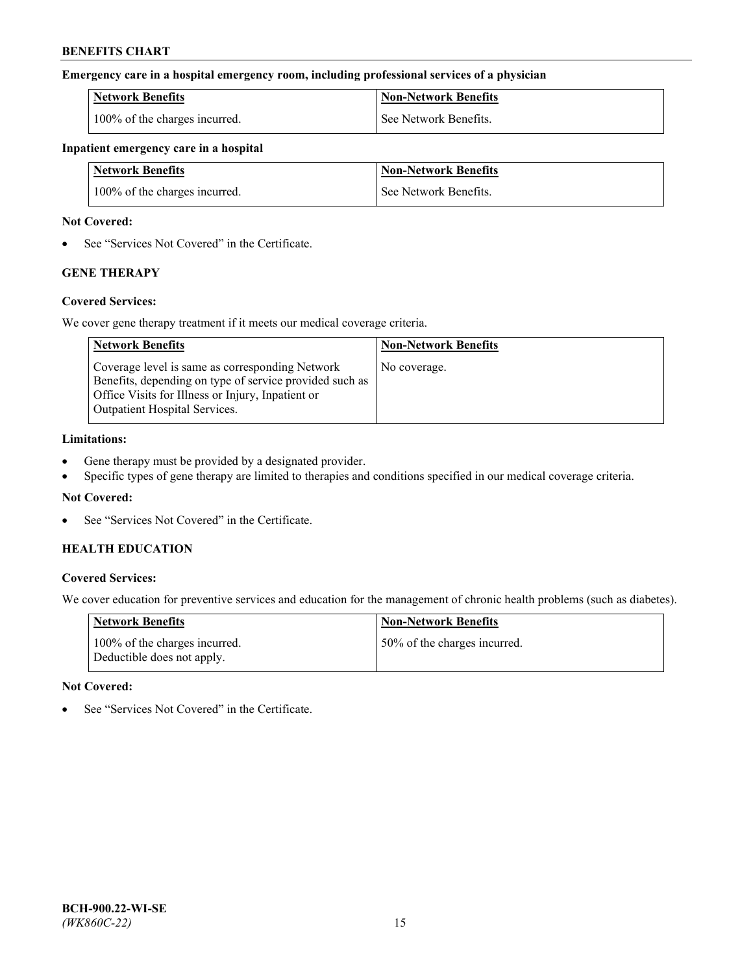## **Emergency care in a hospital emergency room, including professional services of a physician**

| <b>Network Benefits</b>       | <b>Non-Network Benefits</b> |
|-------------------------------|-----------------------------|
| 100% of the charges incurred. | See Network Benefits.       |

## **Inpatient emergency care in a hospital**

| <b>Network Benefits</b>       | <b>Non-Network Benefits</b> |
|-------------------------------|-----------------------------|
| 100% of the charges incurred. | See Network Benefits.       |

## **Not Covered:**

• See "Services Not Covered" in the Certificate.

# **GENE THERAPY**

## **Covered Services:**

We cover gene therapy treatment if it meets our medical coverage criteria.

| <b>Network Benefits</b>                                                                                                                                                                          | <b>Non-Network Benefits</b> |
|--------------------------------------------------------------------------------------------------------------------------------------------------------------------------------------------------|-----------------------------|
| Coverage level is same as corresponding Network<br>Benefits, depending on type of service provided such as<br>Office Visits for Illness or Injury, Inpatient or<br>Outpatient Hospital Services. | No coverage.                |

## **Limitations:**

- Gene therapy must be provided by a designated provider.
- Specific types of gene therapy are limited to therapies and conditions specified in our medical coverage criteria.

## **Not Covered:**

See "Services Not Covered" in the Certificate.

## **HEALTH EDUCATION**

## **Covered Services:**

We cover education for preventive services and education for the management of chronic health problems (such as diabetes).

| <b>Network Benefits</b>                                     | <b>Non-Network Benefits</b>  |
|-------------------------------------------------------------|------------------------------|
| 100% of the charges incurred.<br>Deductible does not apply. | 50% of the charges incurred. |

#### **Not Covered:**

See "Services Not Covered" in the Certificate.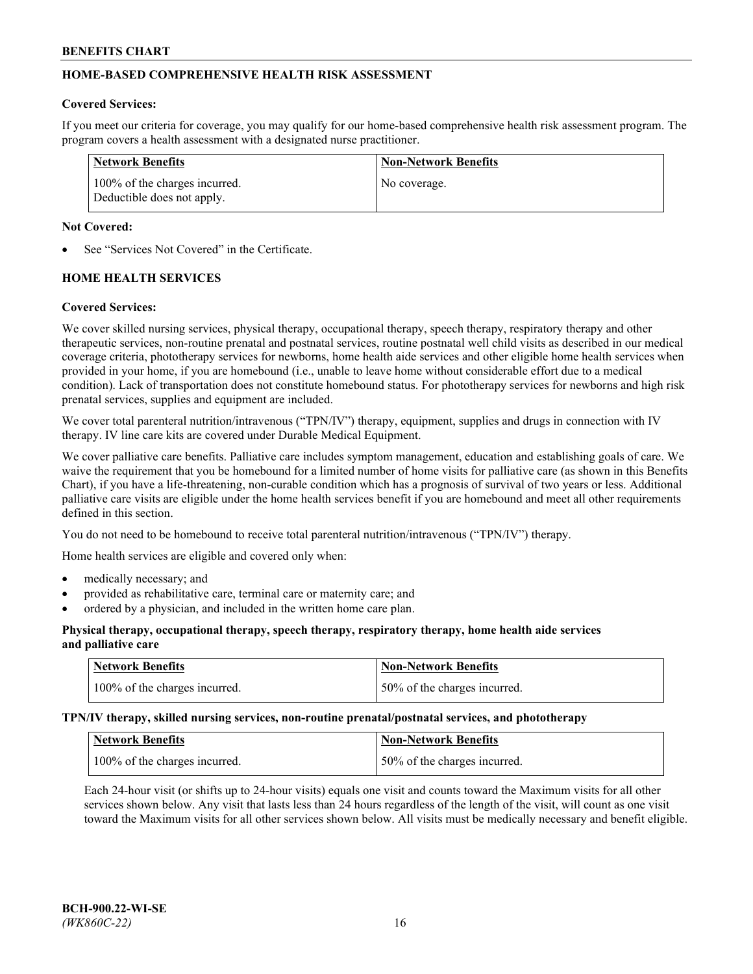# **HOME-BASED COMPREHENSIVE HEALTH RISK ASSESSMENT**

## **Covered Services:**

If you meet our criteria for coverage, you may qualify for our home-based comprehensive health risk assessment program. The program covers a health assessment with a designated nurse practitioner.

| Network Benefits                                            | <b>Non-Network Benefits</b> |
|-------------------------------------------------------------|-----------------------------|
| 100% of the charges incurred.<br>Deductible does not apply. | No coverage.                |

## **Not Covered:**

See "Services Not Covered" in the Certificate.

# **HOME HEALTH SERVICES**

## **Covered Services:**

We cover skilled nursing services, physical therapy, occupational therapy, speech therapy, respiratory therapy and other therapeutic services, non-routine prenatal and postnatal services, routine postnatal well child visits as described in our medical coverage criteria, phototherapy services for newborns, home health aide services and other eligible home health services when provided in your home, if you are homebound (i.e., unable to leave home without considerable effort due to a medical condition). Lack of transportation does not constitute homebound status. For phototherapy services for newborns and high risk prenatal services, supplies and equipment are included.

We cover total parenteral nutrition/intravenous ("TPN/IV") therapy, equipment, supplies and drugs in connection with IV therapy. IV line care kits are covered under Durable Medical Equipment.

We cover palliative care benefits. Palliative care includes symptom management, education and establishing goals of care. We waive the requirement that you be homebound for a limited number of home visits for palliative care (as shown in this Benefits Chart), if you have a life-threatening, non-curable condition which has a prognosis of survival of two years or less. Additional palliative care visits are eligible under the home health services benefit if you are homebound and meet all other requirements defined in this section.

You do not need to be homebound to receive total parenteral nutrition/intravenous ("TPN/IV") therapy.

Home health services are eligible and covered only when:

- medically necessary; and
- provided as rehabilitative care, terminal care or maternity care; and
- ordered by a physician, and included in the written home care plan.

## **Physical therapy, occupational therapy, speech therapy, respiratory therapy, home health aide services and palliative care**

| Network Benefits              | <b>Non-Network Benefits</b>  |
|-------------------------------|------------------------------|
| 100% of the charges incurred. | 50% of the charges incurred. |

**TPN/IV therapy, skilled nursing services, non-routine prenatal/postnatal services, and phototherapy**

| <b>Network Benefits</b>       | <b>Non-Network Benefits</b>  |
|-------------------------------|------------------------------|
| 100% of the charges incurred. | 50% of the charges incurred. |

Each 24-hour visit (or shifts up to 24-hour visits) equals one visit and counts toward the Maximum visits for all other services shown below. Any visit that lasts less than 24 hours regardless of the length of the visit, will count as one visit toward the Maximum visits for all other services shown below. All visits must be medically necessary and benefit eligible.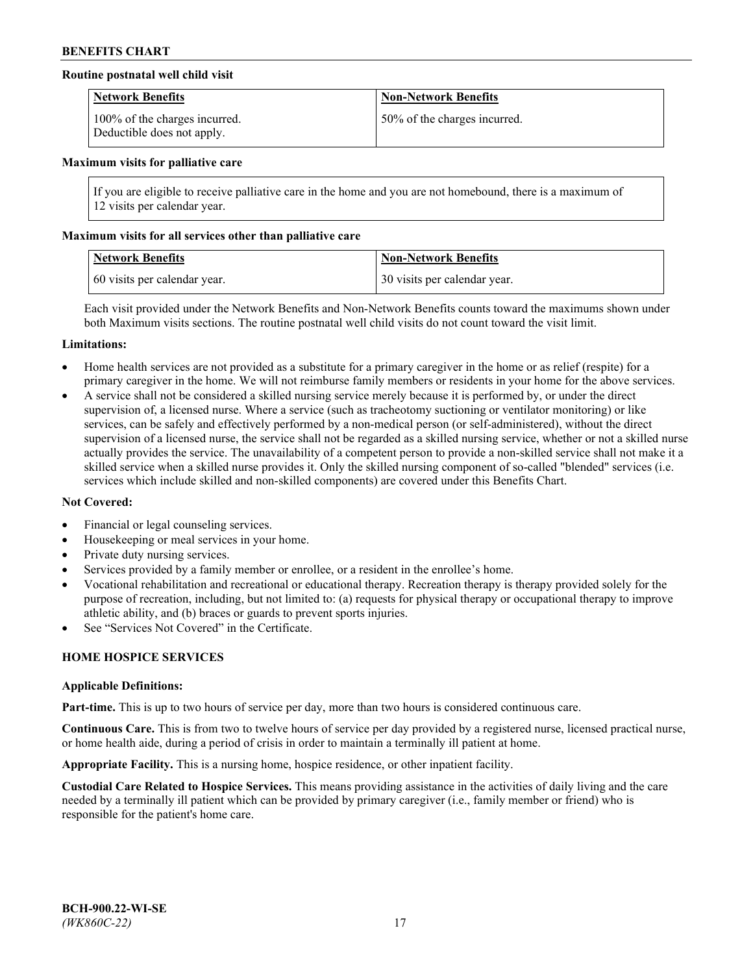## **Routine postnatal well child visit**

| <b>Network Benefits</b>                                     | <b>Non-Network Benefits</b>  |
|-------------------------------------------------------------|------------------------------|
| 100% of the charges incurred.<br>Deductible does not apply. | 50% of the charges incurred. |

#### **Maximum visits for palliative care**

If you are eligible to receive palliative care in the home and you are not homebound, there is a maximum of 12 visits per calendar year.

## **Maximum visits for all services other than palliative care**

| <b>Network Benefits</b>      | <b>Non-Network Benefits</b>  |
|------------------------------|------------------------------|
| 60 visits per calendar year. | 30 visits per calendar year. |

Each visit provided under the Network Benefits and Non-Network Benefits counts toward the maximums shown under both Maximum visits sections. The routine postnatal well child visits do not count toward the visit limit.

#### **Limitations:**

- Home health services are not provided as a substitute for a primary caregiver in the home or as relief (respite) for a primary caregiver in the home. We will not reimburse family members or residents in your home for the above services.
- A service shall not be considered a skilled nursing service merely because it is performed by, or under the direct supervision of, a licensed nurse. Where a service (such as tracheotomy suctioning or ventilator monitoring) or like services, can be safely and effectively performed by a non-medical person (or self-administered), without the direct supervision of a licensed nurse, the service shall not be regarded as a skilled nursing service, whether or not a skilled nurse actually provides the service. The unavailability of a competent person to provide a non-skilled service shall not make it a skilled service when a skilled nurse provides it. Only the skilled nursing component of so-called "blended" services (i.e. services which include skilled and non-skilled components) are covered under this Benefits Chart.

#### **Not Covered:**

- Financial or legal counseling services.
- Housekeeping or meal services in your home.
- Private duty nursing services.
- Services provided by a family member or enrollee, or a resident in the enrollee's home.
- Vocational rehabilitation and recreational or educational therapy. Recreation therapy is therapy provided solely for the purpose of recreation, including, but not limited to: (a) requests for physical therapy or occupational therapy to improve athletic ability, and (b) braces or guards to prevent sports injuries.
- See "Services Not Covered" in the Certificate.

# **HOME HOSPICE SERVICES**

#### **Applicable Definitions:**

**Part-time.** This is up to two hours of service per day, more than two hours is considered continuous care.

**Continuous Care.** This is from two to twelve hours of service per day provided by a registered nurse, licensed practical nurse, or home health aide, during a period of crisis in order to maintain a terminally ill patient at home.

**Appropriate Facility.** This is a nursing home, hospice residence, or other inpatient facility.

**Custodial Care Related to Hospice Services.** This means providing assistance in the activities of daily living and the care needed by a terminally ill patient which can be provided by primary caregiver (i.e., family member or friend) who is responsible for the patient's home care.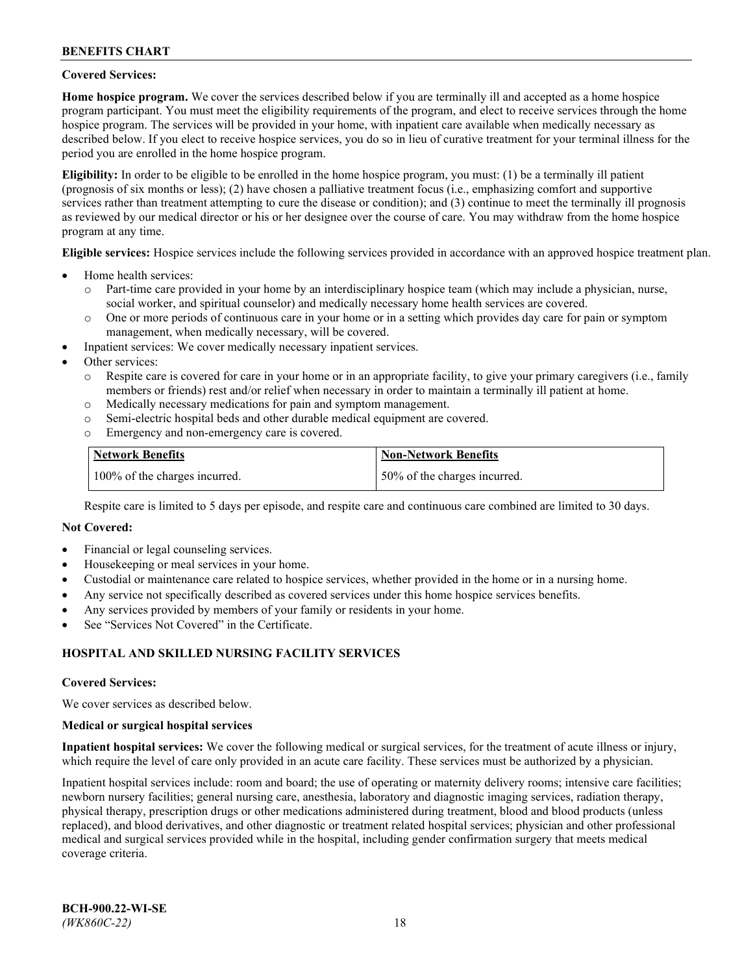## **Covered Services:**

**Home hospice program.** We cover the services described below if you are terminally ill and accepted as a home hospice program participant. You must meet the eligibility requirements of the program, and elect to receive services through the home hospice program. The services will be provided in your home, with inpatient care available when medically necessary as described below. If you elect to receive hospice services, you do so in lieu of curative treatment for your terminal illness for the period you are enrolled in the home hospice program.

**Eligibility:** In order to be eligible to be enrolled in the home hospice program, you must: (1) be a terminally ill patient (prognosis of six months or less); (2) have chosen a palliative treatment focus (i.e., emphasizing comfort and supportive services rather than treatment attempting to cure the disease or condition); and (3) continue to meet the terminally ill prognosis as reviewed by our medical director or his or her designee over the course of care. You may withdraw from the home hospice program at any time.

**Eligible services:** Hospice services include the following services provided in accordance with an approved hospice treatment plan.

- Home health services:
	- o Part-time care provided in your home by an interdisciplinary hospice team (which may include a physician, nurse, social worker, and spiritual counselor) and medically necessary home health services are covered.
	- o One or more periods of continuous care in your home or in a setting which provides day care for pain or symptom management, when medically necessary, will be covered.
- Inpatient services: We cover medically necessary inpatient services.
- Other services:
	- o Respite care is covered for care in your home or in an appropriate facility, to give your primary caregivers (i.e., family members or friends) rest and/or relief when necessary in order to maintain a terminally ill patient at home.
	- o Medically necessary medications for pain and symptom management.
	- o Semi-electric hospital beds and other durable medical equipment are covered.
	- Emergency and non-emergency care is covered.

| Network Benefits              | <b>Non-Network Benefits</b>  |
|-------------------------------|------------------------------|
| 100% of the charges incurred. | 50% of the charges incurred. |

Respite care is limited to 5 days per episode, and respite care and continuous care combined are limited to 30 days.

## **Not Covered:**

- Financial or legal counseling services.
- Housekeeping or meal services in your home.
- Custodial or maintenance care related to hospice services, whether provided in the home or in a nursing home.
- Any service not specifically described as covered services under this home hospice services benefits.
- Any services provided by members of your family or residents in your home.
- See "Services Not Covered" in the Certificate.

## **HOSPITAL AND SKILLED NURSING FACILITY SERVICES**

#### **Covered Services:**

We cover services as described below.

#### **Medical or surgical hospital services**

**Inpatient hospital services:** We cover the following medical or surgical services, for the treatment of acute illness or injury, which require the level of care only provided in an acute care facility. These services must be authorized by a physician.

Inpatient hospital services include: room and board; the use of operating or maternity delivery rooms; intensive care facilities; newborn nursery facilities; general nursing care, anesthesia, laboratory and diagnostic imaging services, radiation therapy, physical therapy, prescription drugs or other medications administered during treatment, blood and blood products (unless replaced), and blood derivatives, and other diagnostic or treatment related hospital services; physician and other professional medical and surgical services provided while in the hospital, including gender confirmation surgery that meets medical coverage criteria.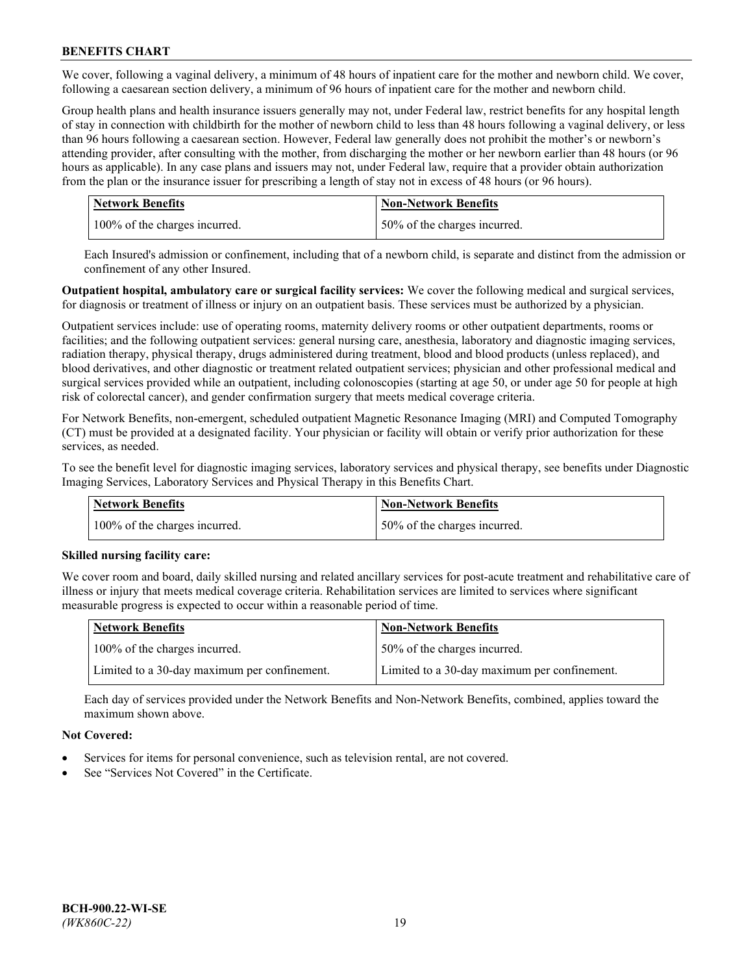We cover, following a vaginal delivery, a minimum of 48 hours of inpatient care for the mother and newborn child. We cover, following a caesarean section delivery, a minimum of 96 hours of inpatient care for the mother and newborn child.

Group health plans and health insurance issuers generally may not, under Federal law, restrict benefits for any hospital length of stay in connection with childbirth for the mother of newborn child to less than 48 hours following a vaginal delivery, or less than 96 hours following a caesarean section. However, Federal law generally does not prohibit the mother's or newborn's attending provider, after consulting with the mother, from discharging the mother or her newborn earlier than 48 hours (or 96 hours as applicable). In any case plans and issuers may not, under Federal law, require that a provider obtain authorization from the plan or the insurance issuer for prescribing a length of stay not in excess of 48 hours (or 96 hours).

| <b>Network Benefits</b>       | <b>Non-Network Benefits</b>  |
|-------------------------------|------------------------------|
| 100% of the charges incurred. | 50% of the charges incurred. |

Each Insured's admission or confinement, including that of a newborn child, is separate and distinct from the admission or confinement of any other Insured.

**Outpatient hospital, ambulatory care or surgical facility services:** We cover the following medical and surgical services, for diagnosis or treatment of illness or injury on an outpatient basis. These services must be authorized by a physician.

Outpatient services include: use of operating rooms, maternity delivery rooms or other outpatient departments, rooms or facilities; and the following outpatient services: general nursing care, anesthesia, laboratory and diagnostic imaging services, radiation therapy, physical therapy, drugs administered during treatment, blood and blood products (unless replaced), and blood derivatives, and other diagnostic or treatment related outpatient services; physician and other professional medical and surgical services provided while an outpatient, including colonoscopies (starting at age 50, or under age 50 for people at high risk of colorectal cancer), and gender confirmation surgery that meets medical coverage criteria.

For Network Benefits, non-emergent, scheduled outpatient Magnetic Resonance Imaging (MRI) and Computed Tomography (CT) must be provided at a designated facility. Your physician or facility will obtain or verify prior authorization for these services, as needed.

To see the benefit level for diagnostic imaging services, laboratory services and physical therapy, see benefits under Diagnostic Imaging Services, Laboratory Services and Physical Therapy in this Benefits Chart.

| <b>Network Benefits</b>       | <b>Non-Network Benefits</b>  |
|-------------------------------|------------------------------|
| 100% of the charges incurred. | 50% of the charges incurred. |

## **Skilled nursing facility care:**

We cover room and board, daily skilled nursing and related ancillary services for post-acute treatment and rehabilitative care of illness or injury that meets medical coverage criteria. Rehabilitation services are limited to services where significant measurable progress is expected to occur within a reasonable period of time.

| Network Benefits                             | <b>Non-Network Benefits</b>                  |
|----------------------------------------------|----------------------------------------------|
| 100% of the charges incurred.                | 50% of the charges incurred.                 |
| Limited to a 30-day maximum per confinement. | Limited to a 30-day maximum per confinement. |

Each day of services provided under the Network Benefits and Non-Network Benefits, combined, applies toward the maximum shown above.

## **Not Covered:**

- Services for items for personal convenience, such as television rental, are not covered.
- See "Services Not Covered" in the Certificate.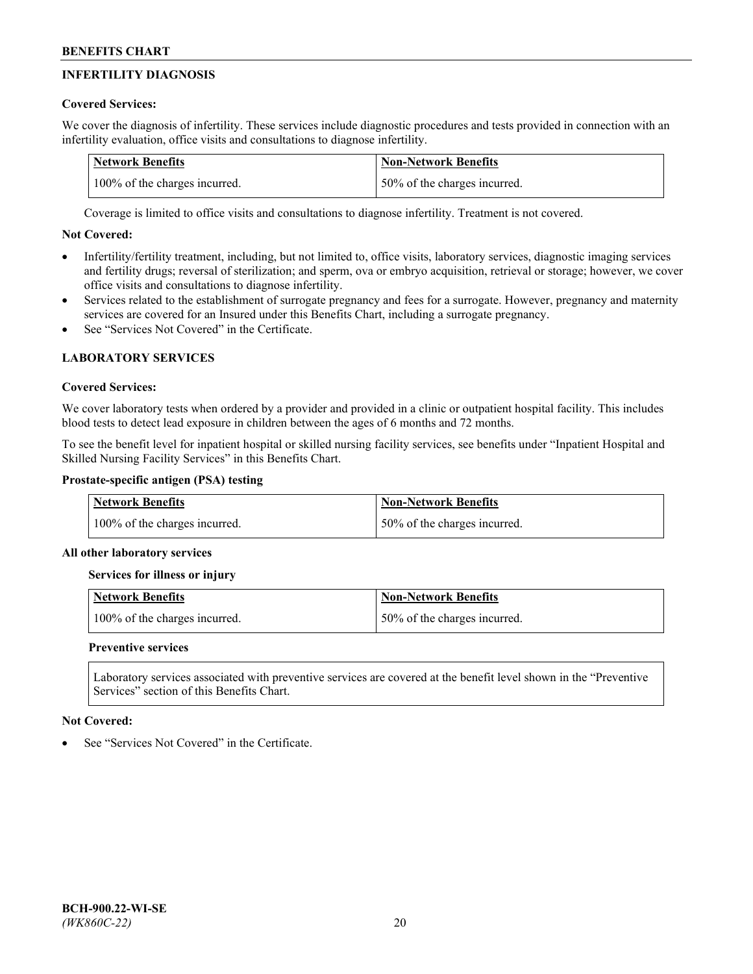# **INFERTILITY DIAGNOSIS**

# **Covered Services:**

We cover the diagnosis of infertility. These services include diagnostic procedures and tests provided in connection with an infertility evaluation, office visits and consultations to diagnose infertility.

| <b>Network Benefits</b>       | <b>Non-Network Benefits</b>  |
|-------------------------------|------------------------------|
| 100% of the charges incurred. | 50% of the charges incurred. |

Coverage is limited to office visits and consultations to diagnose infertility. Treatment is not covered.

# **Not Covered:**

- Infertility/fertility treatment, including, but not limited to, office visits, laboratory services, diagnostic imaging services and fertility drugs; reversal of sterilization; and sperm, ova or embryo acquisition, retrieval or storage; however, we cover office visits and consultations to diagnose infertility.
- Services related to the establishment of surrogate pregnancy and fees for a surrogate. However, pregnancy and maternity services are covered for an Insured under this Benefits Chart, including a surrogate pregnancy.
- See "Services Not Covered" in the Certificate

# **LABORATORY SERVICES**

## **Covered Services:**

We cover laboratory tests when ordered by a provider and provided in a clinic or outpatient hospital facility. This includes blood tests to detect lead exposure in children between the ages of 6 months and 72 months.

To see the benefit level for inpatient hospital or skilled nursing facility services, see benefits under "Inpatient Hospital and Skilled Nursing Facility Services" in this Benefits Chart.

## **Prostate-specific antigen (PSA) testing**

| <b>Network Benefits</b>       | <b>Non-Network Benefits</b>  |
|-------------------------------|------------------------------|
| 100% of the charges incurred. | 50% of the charges incurred. |

## **All other laboratory services**

**Services for illness or injury**

| <b>Network Benefits</b>       | 'Non-Network Benefits        |
|-------------------------------|------------------------------|
| 100% of the charges incurred. | 50% of the charges incurred. |

## **Preventive services**

Laboratory services associated with preventive services are covered at the benefit level shown in the "Preventive Services" section of this Benefits Chart.

## **Not Covered:**

See "Services Not Covered" in the Certificate.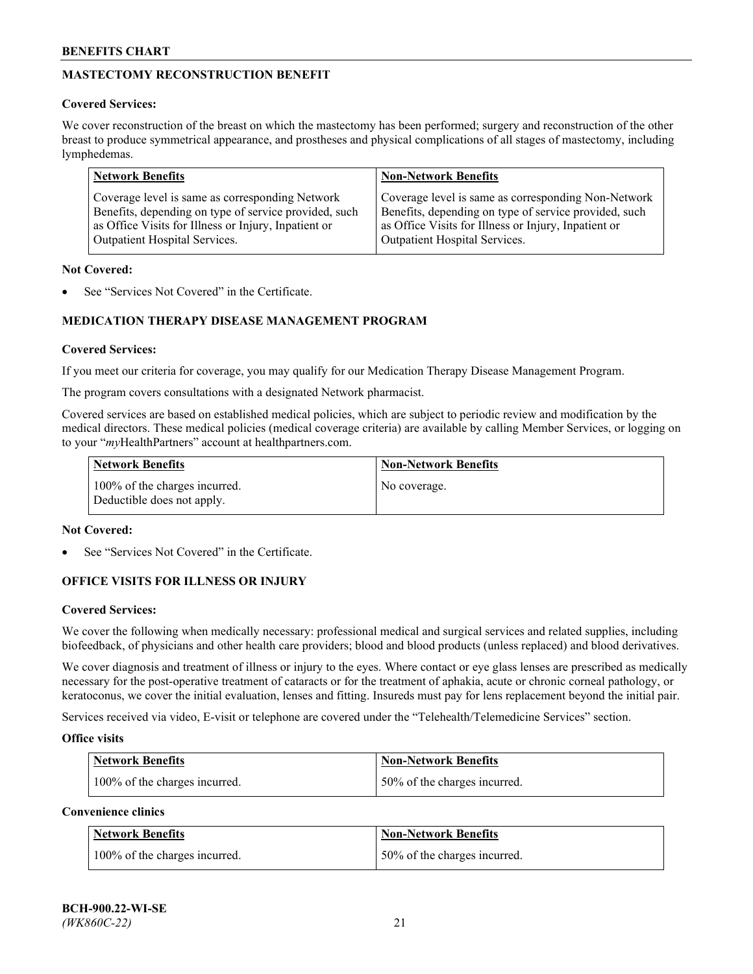# **MASTECTOMY RECONSTRUCTION BENEFIT**

## **Covered Services:**

We cover reconstruction of the breast on which the mastectomy has been performed; surgery and reconstruction of the other breast to produce symmetrical appearance, and prostheses and physical complications of all stages of mastectomy, including lymphedemas.

| <b>Network Benefits</b>                               | <b>Non-Network Benefits</b>                           |
|-------------------------------------------------------|-------------------------------------------------------|
| Coverage level is same as corresponding Network       | Coverage level is same as corresponding Non-Network   |
| Benefits, depending on type of service provided, such | Benefits, depending on type of service provided, such |
| as Office Visits for Illness or Injury, Inpatient or  | as Office Visits for Illness or Injury, Inpatient or  |
| Outpatient Hospital Services.                         | Outpatient Hospital Services.                         |

## **Not Covered:**

See "Services Not Covered" in the Certificate.

# **MEDICATION THERAPY DISEASE MANAGEMENT PROGRAM**

## **Covered Services:**

If you meet our criteria for coverage, you may qualify for our Medication Therapy Disease Management Program.

The program covers consultations with a designated Network pharmacist.

Covered services are based on established medical policies, which are subject to periodic review and modification by the medical directors. These medical policies (medical coverage criteria) are available by calling Member Services, or logging on to your "*my*HealthPartners" account at [healthpartners.com.](http://www.healthpartners.com/)

| Network Benefits                                            | <b>Non-Network Benefits</b> |
|-------------------------------------------------------------|-----------------------------|
| 100% of the charges incurred.<br>Deductible does not apply. | No coverage.                |

## **Not Covered:**

See "Services Not Covered" in the Certificate.

## **OFFICE VISITS FOR ILLNESS OR INJURY**

#### **Covered Services:**

We cover the following when medically necessary: professional medical and surgical services and related supplies, including biofeedback, of physicians and other health care providers; blood and blood products (unless replaced) and blood derivatives.

We cover diagnosis and treatment of illness or injury to the eyes. Where contact or eye glass lenses are prescribed as medically necessary for the post-operative treatment of cataracts or for the treatment of aphakia, acute or chronic corneal pathology, or keratoconus, we cover the initial evaluation, lenses and fitting. Insureds must pay for lens replacement beyond the initial pair.

Services received via video, E-visit or telephone are covered under the "Telehealth/Telemedicine Services" section.

#### **Office visits**

| <b>Network Benefits</b>       | <b>Non-Network Benefits</b>  |
|-------------------------------|------------------------------|
| 100% of the charges incurred. | 50% of the charges incurred. |

**Convenience clinics**

| <b>Network Benefits</b>       | <b>Non-Network Benefits</b>   |
|-------------------------------|-------------------------------|
| 100% of the charges incurred. | 150% of the charges incurred. |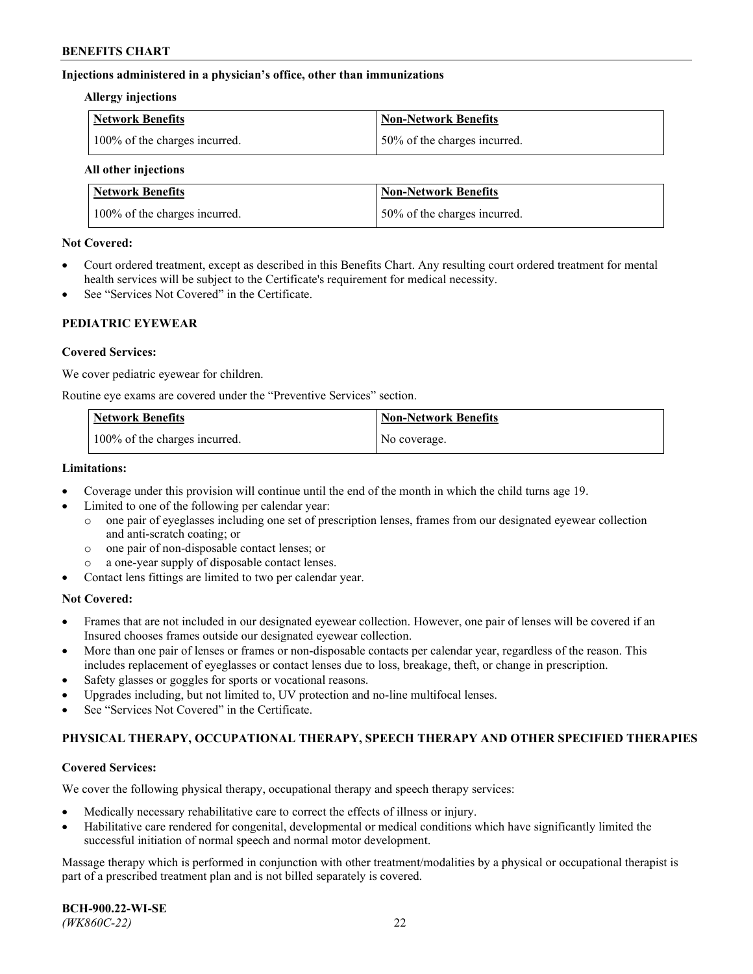## **Injections administered in a physician's office, other than immunizations**

#### **Allergy injections**

| Network Benefits              | Non-Network Benefits         |
|-------------------------------|------------------------------|
| 100% of the charges incurred. | 50% of the charges incurred. |

#### **All other injections**

| <b>Network Benefits</b>       | <b>Non-Network Benefits</b>  |
|-------------------------------|------------------------------|
| 100% of the charges incurred. | 50% of the charges incurred. |

## **Not Covered:**

- Court ordered treatment, except as described in this Benefits Chart. Any resulting court ordered treatment for mental health services will be subject to the Certificate's requirement for medical necessity.
- See "Services Not Covered" in the Certificate.

## **PEDIATRIC EYEWEAR**

## **Covered Services:**

We cover pediatric eyewear for children.

Routine eye exams are covered under the "Preventive Services" section.

| Network Benefits              | <b>Non-Network Benefits</b> |
|-------------------------------|-----------------------------|
| 100% of the charges incurred. | No coverage.                |

## **Limitations:**

- Coverage under this provision will continue until the end of the month in which the child turns age 19.
- Limited to one of the following per calendar year:
	- o one pair of eyeglasses including one set of prescription lenses, frames from our designated eyewear collection and anti-scratch coating; or
	- o one pair of non-disposable contact lenses; or
	- o a one-year supply of disposable contact lenses.
- Contact lens fittings are limited to two per calendar year.

## **Not Covered:**

- Frames that are not included in our designated eyewear collection. However, one pair of lenses will be covered if an Insured chooses frames outside our designated eyewear collection.
- More than one pair of lenses or frames or non-disposable contacts per calendar year, regardless of the reason. This includes replacement of eyeglasses or contact lenses due to loss, breakage, theft, or change in prescription.
- Safety glasses or goggles for sports or vocational reasons.
- Upgrades including, but not limited to, UV protection and no-line multifocal lenses.
- See "Services Not Covered" in the Certificate.

## **PHYSICAL THERAPY, OCCUPATIONAL THERAPY, SPEECH THERAPY AND OTHER SPECIFIED THERAPIES**

#### **Covered Services:**

We cover the following physical therapy, occupational therapy and speech therapy services:

- Medically necessary rehabilitative care to correct the effects of illness or injury.
- Habilitative care rendered for congenital, developmental or medical conditions which have significantly limited the successful initiation of normal speech and normal motor development.

Massage therapy which is performed in conjunction with other treatment/modalities by a physical or occupational therapist is part of a prescribed treatment plan and is not billed separately is covered.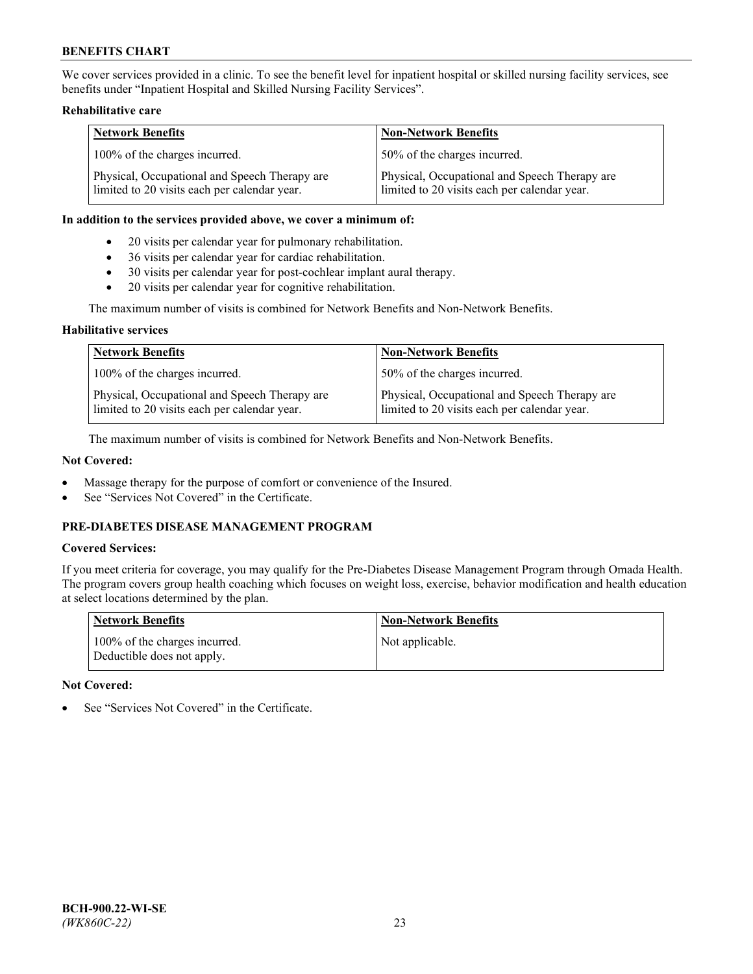We cover services provided in a clinic. To see the benefit level for inpatient hospital or skilled nursing facility services, see benefits under "Inpatient Hospital and Skilled Nursing Facility Services".

## **Rehabilitative care**

| <b>Network Benefits</b>                                                                       | <b>Non-Network Benefits</b>                                                                   |
|-----------------------------------------------------------------------------------------------|-----------------------------------------------------------------------------------------------|
| 100% of the charges incurred.                                                                 | 50% of the charges incurred.                                                                  |
| Physical, Occupational and Speech Therapy are<br>limited to 20 visits each per calendar year. | Physical, Occupational and Speech Therapy are<br>limited to 20 visits each per calendar year. |

## **In addition to the services provided above, we cover a minimum of:**

- 20 visits per calendar year for pulmonary rehabilitation.
- 36 visits per calendar year for cardiac rehabilitation.
- 30 visits per calendar year for post-cochlear implant aural therapy.
- 20 visits per calendar year for cognitive rehabilitation.

The maximum number of visits is combined for Network Benefits and Non-Network Benefits.

## **Habilitative services**

| <b>Network Benefits</b>                                                                       | <b>Non-Network Benefits</b>                                                                   |
|-----------------------------------------------------------------------------------------------|-----------------------------------------------------------------------------------------------|
| 100% of the charges incurred.                                                                 | 50% of the charges incurred.                                                                  |
| Physical, Occupational and Speech Therapy are<br>limited to 20 visits each per calendar year. | Physical, Occupational and Speech Therapy are<br>limited to 20 visits each per calendar year. |

The maximum number of visits is combined for Network Benefits and Non-Network Benefits.

## **Not Covered:**

- Massage therapy for the purpose of comfort or convenience of the Insured.
- See "Services Not Covered" in the Certificate.

# **PRE-DIABETES DISEASE MANAGEMENT PROGRAM**

## **Covered Services:**

If you meet criteria for coverage, you may qualify for the Pre-Diabetes Disease Management Program through Omada Health. The program covers group health coaching which focuses on weight loss, exercise, behavior modification and health education at select locations determined by the plan.

| <b>Network Benefits</b>                                     | <b>Non-Network Benefits</b> |
|-------------------------------------------------------------|-----------------------------|
| 100% of the charges incurred.<br>Deductible does not apply. | Not applicable.             |

## **Not Covered:**

See "Services Not Covered" in the Certificate.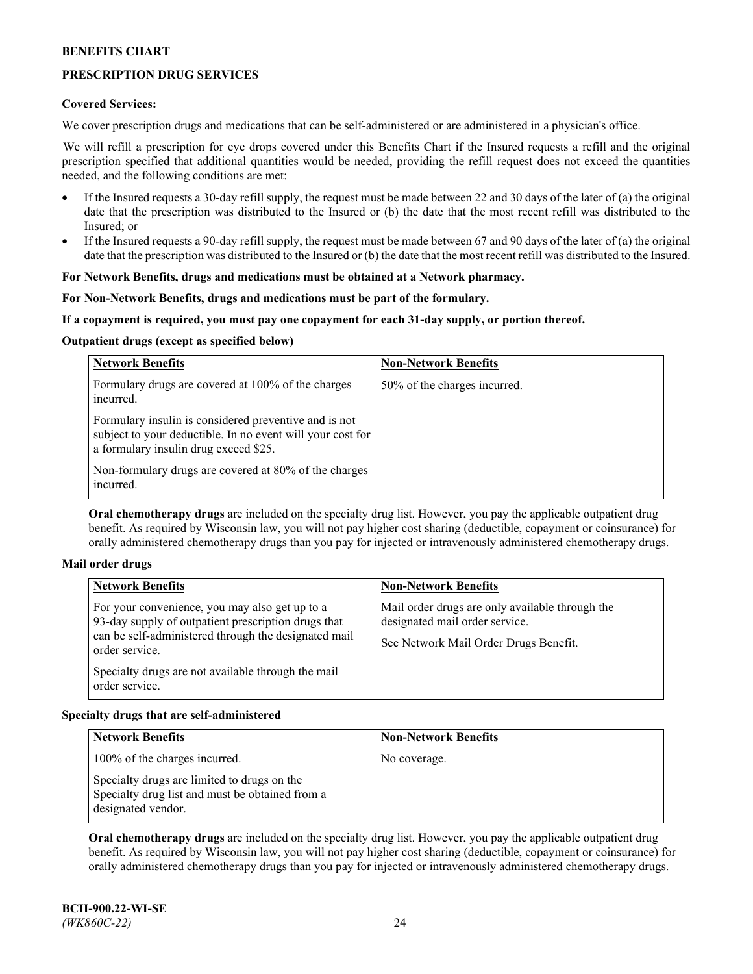# **PRESCRIPTION DRUG SERVICES**

## **Covered Services:**

We cover prescription drugs and medications that can be self-administered or are administered in a physician's office.

We will refill a prescription for eye drops covered under this Benefits Chart if the Insured requests a refill and the original prescription specified that additional quantities would be needed, providing the refill request does not exceed the quantities needed, and the following conditions are met:

- If the Insured requests a 30-day refill supply, the request must be made between 22 and 30 days of the later of (a) the original date that the prescription was distributed to the Insured or (b) the date that the most recent refill was distributed to the Insured; or
- If the Insured requests a 90-day refill supply, the request must be made between 67 and 90 days of the later of (a) the original date that the prescription was distributed to the Insured or (b) the date that the most recent refill was distributed to the Insured.

## **For Network Benefits, drugs and medications must be obtained at a Network pharmacy.**

## **For Non-Network Benefits, drugs and medications must be part of the formulary.**

## **If a copayment is required, you must pay one copayment for each 31-day supply, or portion thereof.**

## **Outpatient drugs (except as specified below)**

| <b>Network Benefits</b>                                                                                                                                      | <b>Non-Network Benefits</b>  |
|--------------------------------------------------------------------------------------------------------------------------------------------------------------|------------------------------|
| Formulary drugs are covered at 100% of the charges<br>incurred.                                                                                              | 50% of the charges incurred. |
| Formulary insulin is considered preventive and is not<br>subject to your deductible. In no event will your cost for<br>a formulary insulin drug exceed \$25. |                              |
| Non-formulary drugs are covered at 80% of the charges<br>incurred.                                                                                           |                              |

**Oral chemotherapy drugs** are included on the specialty drug list. However, you pay the applicable outpatient drug benefit. As required by Wisconsin law, you will not pay higher cost sharing (deductible, copayment or coinsurance) for orally administered chemotherapy drugs than you pay for injected or intravenously administered chemotherapy drugs.

#### **Mail order drugs**

| For your convenience, you may also get up to a                                                                                                                                                        |                                                                                                                            |
|-------------------------------------------------------------------------------------------------------------------------------------------------------------------------------------------------------|----------------------------------------------------------------------------------------------------------------------------|
| 93-day supply of outpatient prescription drugs that<br>can be self-administered through the designated mail<br>order service.<br>Specialty drugs are not available through the mail<br>order service. | Mail order drugs are only available through the<br>designated mail order service.<br>See Network Mail Order Drugs Benefit. |

## **Specialty drugs that are self-administered**

| <b>Network Benefits</b>                                                                                              | <b>Non-Network Benefits</b> |
|----------------------------------------------------------------------------------------------------------------------|-----------------------------|
| 100% of the charges incurred.                                                                                        | No coverage.                |
| Specialty drugs are limited to drugs on the<br>Specialty drug list and must be obtained from a<br>designated vendor. |                             |

**Oral chemotherapy drugs** are included on the specialty drug list. However, you pay the applicable outpatient drug benefit. As required by Wisconsin law, you will not pay higher cost sharing (deductible, copayment or coinsurance) for orally administered chemotherapy drugs than you pay for injected or intravenously administered chemotherapy drugs.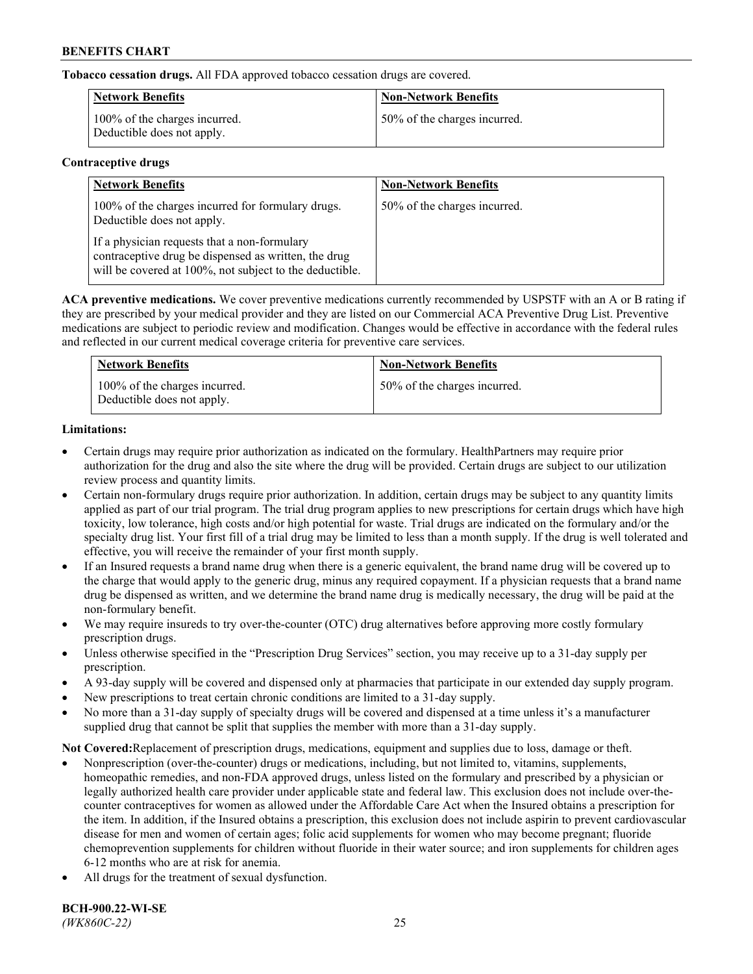**Tobacco cessation drugs.** All FDA approved tobacco cessation drugs are covered.

| Network Benefits                                            | <b>Non-Network Benefits</b>  |
|-------------------------------------------------------------|------------------------------|
| 100% of the charges incurred.<br>Deductible does not apply. | 50% of the charges incurred. |

## **Contraceptive drugs**

| <b>Network Benefits</b>                                                                                                                                         | <b>Non-Network Benefits</b>  |
|-----------------------------------------------------------------------------------------------------------------------------------------------------------------|------------------------------|
| 100% of the charges incurred for formulary drugs.<br>Deductible does not apply.                                                                                 | 50% of the charges incurred. |
| If a physician requests that a non-formulary<br>contraceptive drug be dispensed as written, the drug<br>will be covered at 100%, not subject to the deductible. |                              |

**ACA preventive medications.** We cover preventive medications currently recommended by USPSTF with an A or B rating if they are prescribed by your medical provider and they are listed on our Commercial ACA Preventive Drug List. Preventive medications are subject to periodic review and modification. Changes would be effective in accordance with the federal rules and reflected in our current medical coverage criteria for preventive care services.

| <b>Network Benefits</b>                                     | <b>Non-Network Benefits</b>  |
|-------------------------------------------------------------|------------------------------|
| 100% of the charges incurred.<br>Deductible does not apply. | 50% of the charges incurred. |

# **Limitations:**

- Certain drugs may require prior authorization as indicated on the formulary. HealthPartners may require prior authorization for the drug and also the site where the drug will be provided. Certain drugs are subject to our utilization review process and quantity limits.
- Certain non-formulary drugs require prior authorization. In addition, certain drugs may be subject to any quantity limits applied as part of our trial program. The trial drug program applies to new prescriptions for certain drugs which have high toxicity, low tolerance, high costs and/or high potential for waste. Trial drugs are indicated on the formulary and/or the specialty drug list. Your first fill of a trial drug may be limited to less than a month supply. If the drug is well tolerated and effective, you will receive the remainder of your first month supply.
- If an Insured requests a brand name drug when there is a generic equivalent, the brand name drug will be covered up to the charge that would apply to the generic drug, minus any required copayment. If a physician requests that a brand name drug be dispensed as written, and we determine the brand name drug is medically necessary, the drug will be paid at the non-formulary benefit.
- We may require insureds to try over-the-counter (OTC) drug alternatives before approving more costly formulary prescription drugs.
- Unless otherwise specified in the "Prescription Drug Services" section, you may receive up to a 31-day supply per prescription.
- A 93-day supply will be covered and dispensed only at pharmacies that participate in our extended day supply program.
- New prescriptions to treat certain chronic conditions are limited to a 31-day supply.
- No more than a 31-day supply of specialty drugs will be covered and dispensed at a time unless it's a manufacturer supplied drug that cannot be split that supplies the member with more than a 31-day supply.

**Not Covered:**Replacement of prescription drugs, medications, equipment and supplies due to loss, damage or theft.

- Nonprescription (over-the-counter) drugs or medications, including, but not limited to, vitamins, supplements, homeopathic remedies, and non-FDA approved drugs, unless listed on the formulary and prescribed by a physician or legally authorized health care provider under applicable state and federal law. This exclusion does not include over-thecounter contraceptives for women as allowed under the Affordable Care Act when the Insured obtains a prescription for the item. In addition, if the Insured obtains a prescription, this exclusion does not include aspirin to prevent cardiovascular disease for men and women of certain ages; folic acid supplements for women who may become pregnant; fluoride chemoprevention supplements for children without fluoride in their water source; and iron supplements for children ages 6-12 months who are at risk for anemia.
- All drugs for the treatment of sexual dysfunction.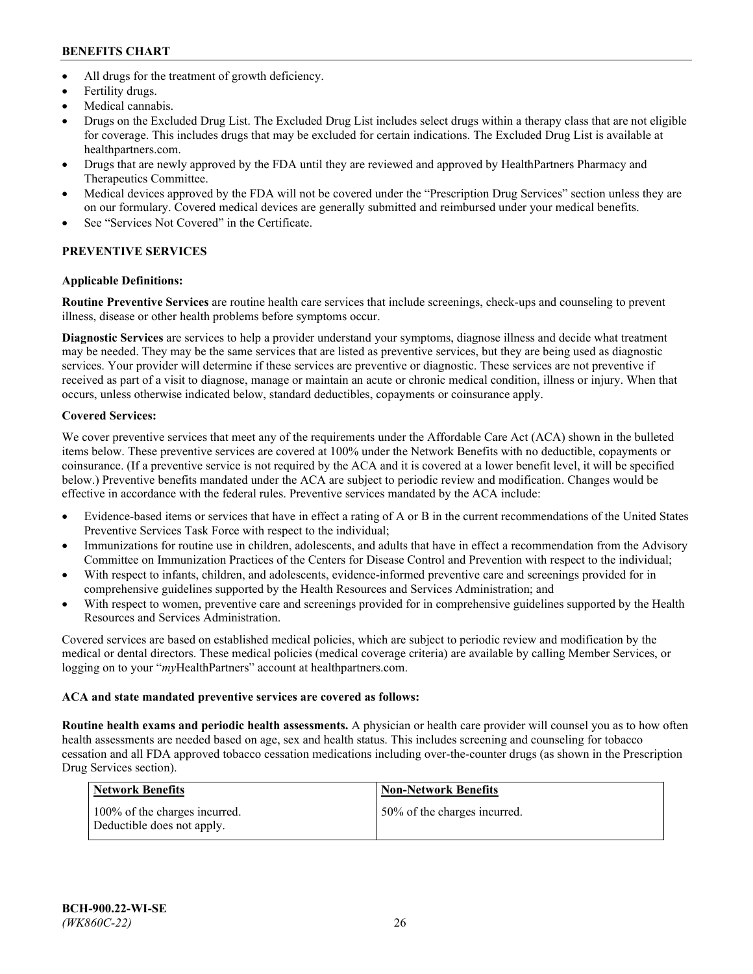- All drugs for the treatment of growth deficiency.
- Fertility drugs.
- Medical cannabis.
- Drugs on the Excluded Drug List. The Excluded Drug List includes select drugs within a therapy class that are not eligible for coverage. This includes drugs that may be excluded for certain indications. The Excluded Drug List is available at [healthpartners.com.](http://www.healthpartners.com/)
- Drugs that are newly approved by the FDA until they are reviewed and approved by HealthPartners Pharmacy and Therapeutics Committee.
- Medical devices approved by the FDA will not be covered under the "Prescription Drug Services" section unless they are on our formulary. Covered medical devices are generally submitted and reimbursed under your medical benefits.
- See "Services Not Covered" in the Certificate.

# **PREVENTIVE SERVICES**

# **Applicable Definitions:**

**Routine Preventive Services** are routine health care services that include screenings, check-ups and counseling to prevent illness, disease or other health problems before symptoms occur.

**Diagnostic Services** are services to help a provider understand your symptoms, diagnose illness and decide what treatment may be needed. They may be the same services that are listed as preventive services, but they are being used as diagnostic services. Your provider will determine if these services are preventive or diagnostic. These services are not preventive if received as part of a visit to diagnose, manage or maintain an acute or chronic medical condition, illness or injury. When that occurs, unless otherwise indicated below, standard deductibles, copayments or coinsurance apply.

# **Covered Services:**

We cover preventive services that meet any of the requirements under the Affordable Care Act (ACA) shown in the bulleted items below. These preventive services are covered at 100% under the Network Benefits with no deductible, copayments or coinsurance. (If a preventive service is not required by the ACA and it is covered at a lower benefit level, it will be specified below.) Preventive benefits mandated under the ACA are subject to periodic review and modification. Changes would be effective in accordance with the federal rules. Preventive services mandated by the ACA include:

- Evidence-based items or services that have in effect a rating of A or B in the current recommendations of the United States Preventive Services Task Force with respect to the individual;
- Immunizations for routine use in children, adolescents, and adults that have in effect a recommendation from the Advisory Committee on Immunization Practices of the Centers for Disease Control and Prevention with respect to the individual;
- With respect to infants, children, and adolescents, evidence-informed preventive care and screenings provided for in comprehensive guidelines supported by the Health Resources and Services Administration; and
- With respect to women, preventive care and screenings provided for in comprehensive guidelines supported by the Health Resources and Services Administration.

Covered services are based on established medical policies, which are subject to periodic review and modification by the medical or dental directors. These medical policies (medical coverage criteria) are available by calling Member Services, or logging on to your "*my*HealthPartners" account at [healthpartners.com.](https://www.healthpartners.com/hp/index.html)

# **ACA and state mandated preventive services are covered as follows:**

**Routine health exams and periodic health assessments.** A physician or health care provider will counsel you as to how often health assessments are needed based on age, sex and health status. This includes screening and counseling for tobacco cessation and all FDA approved tobacco cessation medications including over-the-counter drugs (as shown in the Prescription Drug Services section).

| Network Benefits                                            | <b>Non-Network Benefits</b>  |
|-------------------------------------------------------------|------------------------------|
| 100% of the charges incurred.<br>Deductible does not apply. | 50% of the charges incurred. |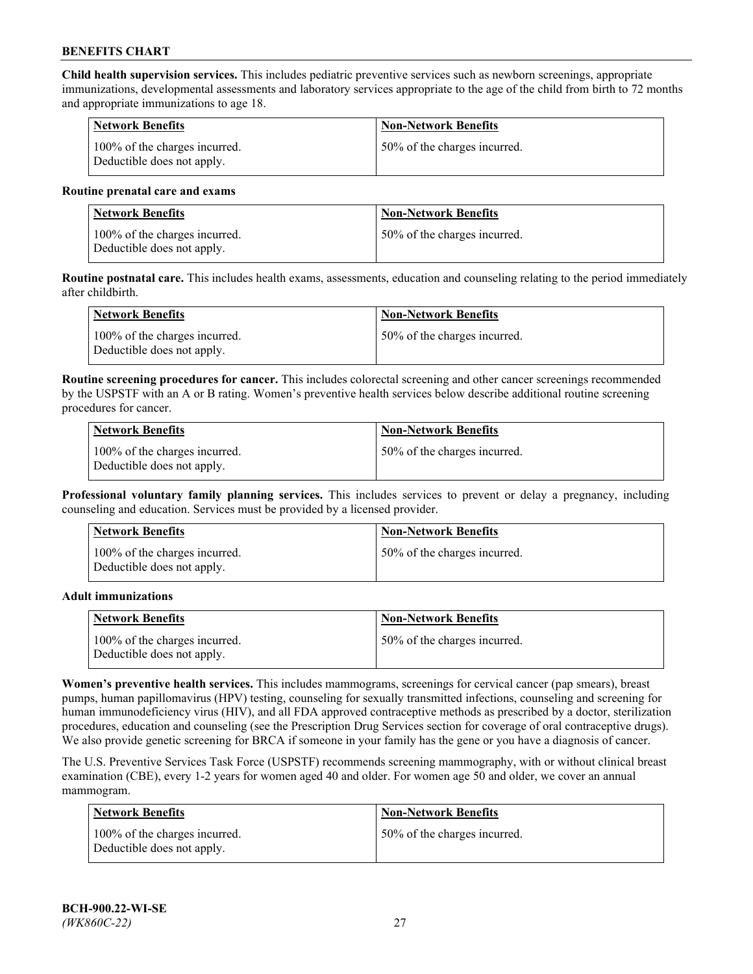**Child health supervision services.** This includes pediatric preventive services such as newborn screenings, appropriate immunizations, developmental assessments and laboratory services appropriate to the age of the child from birth to 72 months and appropriate immunizations to age 18.

| Network Benefits                                            | <b>Non-Network Benefits</b>  |
|-------------------------------------------------------------|------------------------------|
| 100% of the charges incurred.<br>Deductible does not apply. | 50% of the charges incurred. |

#### **Routine prenatal care and exams**

| Network Benefits                                            | <b>Non-Network Benefits</b>  |
|-------------------------------------------------------------|------------------------------|
| 100% of the charges incurred.<br>Deductible does not apply. | 50% of the charges incurred. |

**Routine postnatal care.** This includes health exams, assessments, education and counseling relating to the period immediately after childbirth.

| Network Benefits                                            | <b>Non-Network Benefits</b>  |
|-------------------------------------------------------------|------------------------------|
| 100% of the charges incurred.<br>Deductible does not apply. | 50% of the charges incurred. |

**Routine screening procedures for cancer.** This includes colorectal screening and other cancer screenings recommended by the USPSTF with an A or B rating. Women's preventive health services below describe additional routine screening procedures for cancer.

| <b>Network Benefits</b>                                     | <b>Non-Network Benefits</b>  |
|-------------------------------------------------------------|------------------------------|
| 100% of the charges incurred.<br>Deductible does not apply. | 50% of the charges incurred. |

**Professional voluntary family planning services.** This includes services to prevent or delay a pregnancy, including counseling and education. Services must be provided by a licensed provider.

| <b>Network Benefits</b>                                     | <b>Non-Network Benefits</b>  |
|-------------------------------------------------------------|------------------------------|
| 100% of the charges incurred.<br>Deductible does not apply. | 50% of the charges incurred. |

#### **Adult immunizations**

| <b>Network Benefits</b>                                     | <b>Non-Network Benefits</b>  |
|-------------------------------------------------------------|------------------------------|
| 100% of the charges incurred.<br>Deductible does not apply. | 50% of the charges incurred. |

**Women's preventive health services.** This includes mammograms, screenings for cervical cancer (pap smears), breast pumps, human papillomavirus (HPV) testing, counseling for sexually transmitted infections, counseling and screening for human immunodeficiency virus (HIV), and all FDA approved contraceptive methods as prescribed by a doctor, sterilization procedures, education and counseling (see the Prescription Drug Services section for coverage of oral contraceptive drugs). We also provide genetic screening for BRCA if someone in your family has the gene or you have a diagnosis of cancer.

The U.S. Preventive Services Task Force (USPSTF) recommends screening mammography, with or without clinical breast examination (CBE), every 1-2 years for women aged 40 and older. For women age 50 and older, we cover an annual mammogram.

| <b>Network Benefits</b>                                     | <b>Non-Network Benefits</b>  |
|-------------------------------------------------------------|------------------------------|
| 100% of the charges incurred.<br>Deductible does not apply. | 50% of the charges incurred. |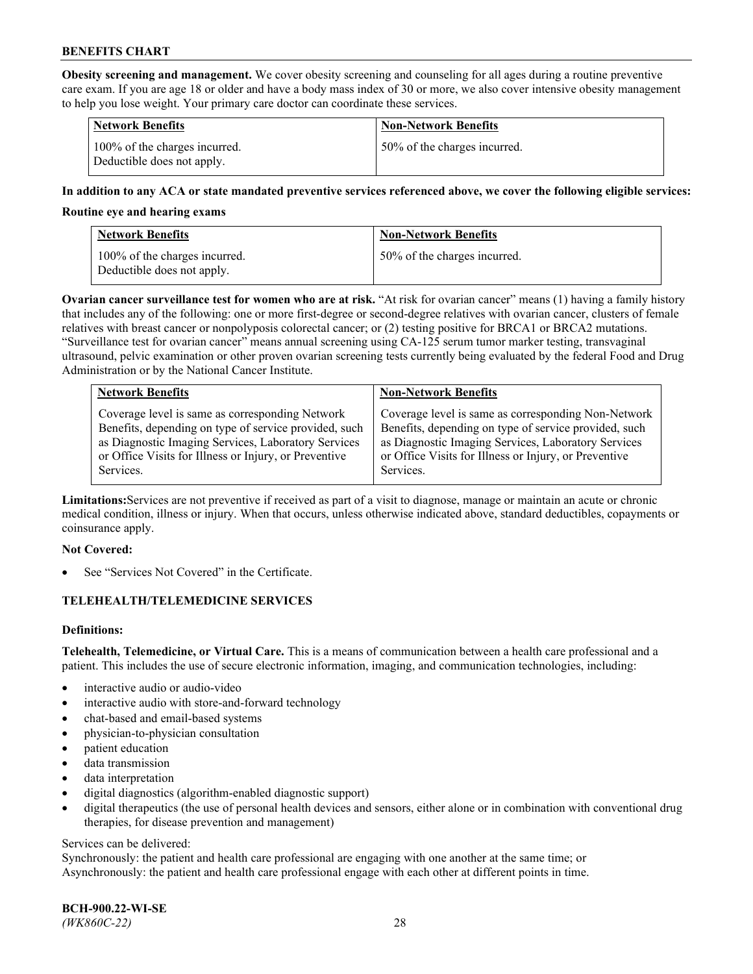**Obesity screening and management.** We cover obesity screening and counseling for all ages during a routine preventive care exam. If you are age 18 or older and have a body mass index of 30 or more, we also cover intensive obesity management to help you lose weight. Your primary care doctor can coordinate these services.

| <b>Network Benefits</b>                                     | <b>Non-Network Benefits</b>  |
|-------------------------------------------------------------|------------------------------|
| 100% of the charges incurred.<br>Deductible does not apply. | 50% of the charges incurred. |

## **In addition to any ACA or state mandated preventive services referenced above, we cover the following eligible services:**

#### **Routine eye and hearing exams**

| <b>Network Benefits</b>                                     | <b>Non-Network Benefits</b>  |
|-------------------------------------------------------------|------------------------------|
| 100% of the charges incurred.<br>Deductible does not apply. | 50% of the charges incurred. |

**Ovarian cancer surveillance test for women who are at risk.** "At risk for ovarian cancer" means (1) having a family history that includes any of the following: one or more first-degree or second-degree relatives with ovarian cancer, clusters of female relatives with breast cancer or nonpolyposis colorectal cancer; or (2) testing positive for BRCA1 or BRCA2 mutations. "Surveillance test for ovarian cancer" means annual screening using CA-125 serum tumor marker testing, transvaginal ultrasound, pelvic examination or other proven ovarian screening tests currently being evaluated by the federal Food and Drug Administration or by the National Cancer Institute.

| <b>Network Benefits</b>                               | <b>Non-Network Benefits</b>                           |
|-------------------------------------------------------|-------------------------------------------------------|
| Coverage level is same as corresponding Network       | Coverage level is same as corresponding Non-Network   |
| Benefits, depending on type of service provided, such | Benefits, depending on type of service provided, such |
| as Diagnostic Imaging Services, Laboratory Services   | as Diagnostic Imaging Services, Laboratory Services   |
| or Office Visits for Illness or Injury, or Preventive | or Office Visits for Illness or Injury, or Preventive |
| Services.                                             | Services.                                             |

**Limitations:**Services are not preventive if received as part of a visit to diagnose, manage or maintain an acute or chronic medical condition, illness or injury. When that occurs, unless otherwise indicated above, standard deductibles, copayments or coinsurance apply.

#### **Not Covered:**

See "Services Not Covered" in the Certificate.

## **TELEHEALTH/TELEMEDICINE SERVICES**

## **Definitions:**

**Telehealth, Telemedicine, or Virtual Care.** This is a means of communication between a health care professional and a patient. This includes the use of secure electronic information, imaging, and communication technologies, including:

- interactive audio or audio-video
- interactive audio with store-and-forward technology
- chat-based and email-based systems
- physician-to-physician consultation
- patient education
- data transmission
- data interpretation
- digital diagnostics (algorithm-enabled diagnostic support)
- digital therapeutics (the use of personal health devices and sensors, either alone or in combination with conventional drug therapies, for disease prevention and management)

#### Services can be delivered:

Synchronously: the patient and health care professional are engaging with one another at the same time; or Asynchronously: the patient and health care professional engage with each other at different points in time.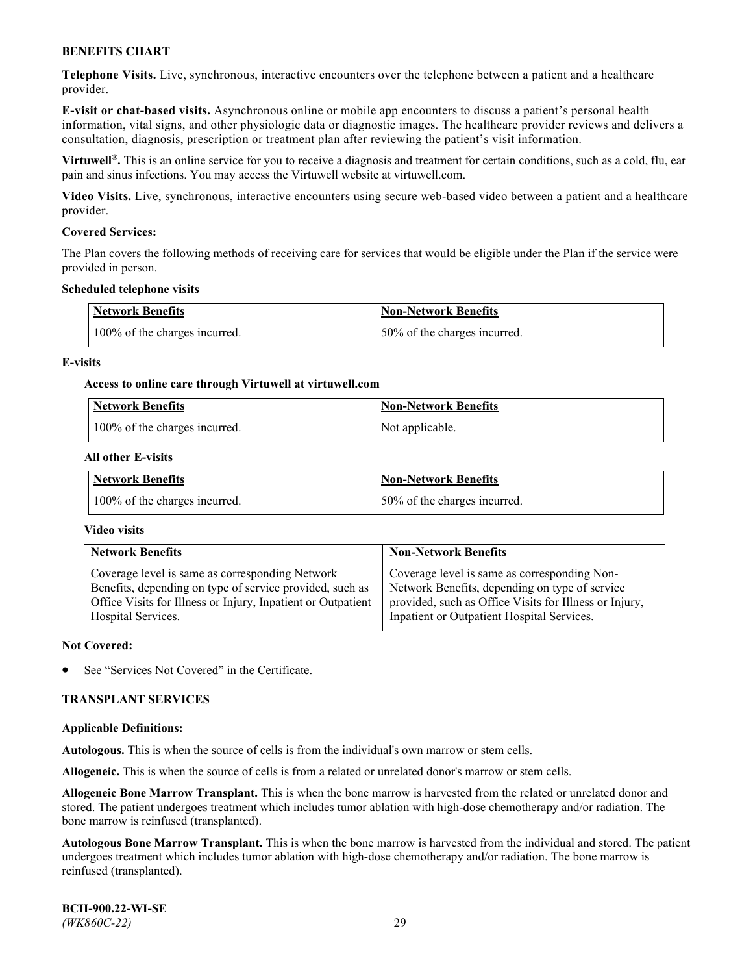**Telephone Visits.** Live, synchronous, interactive encounters over the telephone between a patient and a healthcare provider.

**E-visit or chat-based visits.** Asynchronous online or mobile app encounters to discuss a patient's personal health information, vital signs, and other physiologic data or diagnostic images. The healthcare provider reviews and delivers a consultation, diagnosis, prescription or treatment plan after reviewing the patient's visit information.

**Virtuwell®.** This is an online service for you to receive a diagnosis and treatment for certain conditions, such as a cold, flu, ear pain and sinus infections. You may access the Virtuwell website at [virtuwell.com.](https://www.virtuwell.com/)

**Video Visits.** Live, synchronous, interactive encounters using secure web-based video between a patient and a healthcare provider.

## **Covered Services:**

The Plan covers the following methods of receiving care for services that would be eligible under the Plan if the service were provided in person.

#### **Scheduled telephone visits**

| <b>Network Benefits</b>       | <b>Non-Network Benefits</b>  |
|-------------------------------|------------------------------|
| 100% of the charges incurred. | 50% of the charges incurred. |

## **E-visits**

## **Access to online care through Virtuwell at [virtuwell.com](https://www.virtuwell.com/)**

| <b>Network Benefits</b>       | <b>Non-Network Benefits</b> |
|-------------------------------|-----------------------------|
| 100% of the charges incurred. | Not applicable.             |

## **All other E-visits**

| <b>Network Benefits</b>       | <b>Non-Network Benefits</b>  |
|-------------------------------|------------------------------|
| 100% of the charges incurred. | 50% of the charges incurred. |

#### **Video visits**

| <b>Network Benefits</b>                                      | <b>Non-Network Benefits</b>                            |
|--------------------------------------------------------------|--------------------------------------------------------|
| Coverage level is same as corresponding Network              | Coverage level is same as corresponding Non-           |
| Benefits, depending on type of service provided, such as     | Network Benefits, depending on type of service         |
| Office Visits for Illness or Injury, Inpatient or Outpatient | provided, such as Office Visits for Illness or Injury, |
| Hospital Services.                                           | Inpatient or Outpatient Hospital Services.             |

#### **Not Covered:**

See "Services Not Covered" in the Certificate.

## **TRANSPLANT SERVICES**

#### **Applicable Definitions:**

**Autologous.** This is when the source of cells is from the individual's own marrow or stem cells.

**Allogeneic.** This is when the source of cells is from a related or unrelated donor's marrow or stem cells.

**Allogeneic Bone Marrow Transplant.** This is when the bone marrow is harvested from the related or unrelated donor and stored. The patient undergoes treatment which includes tumor ablation with high-dose chemotherapy and/or radiation. The bone marrow is reinfused (transplanted).

**Autologous Bone Marrow Transplant.** This is when the bone marrow is harvested from the individual and stored. The patient undergoes treatment which includes tumor ablation with high-dose chemotherapy and/or radiation. The bone marrow is reinfused (transplanted).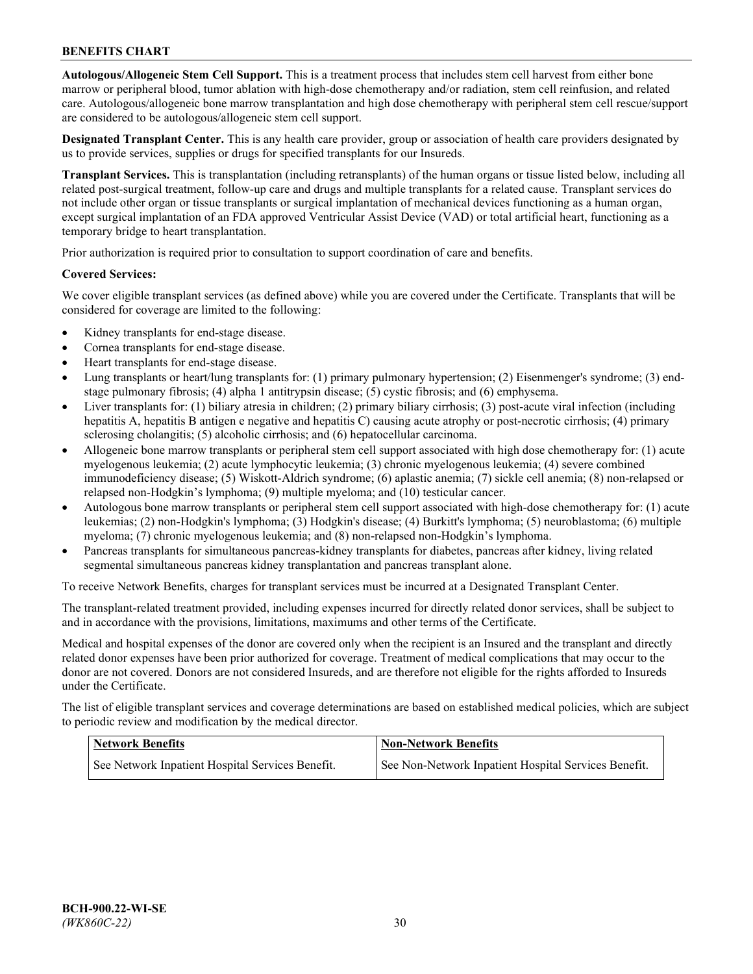**Autologous/Allogeneic Stem Cell Support.** This is a treatment process that includes stem cell harvest from either bone marrow or peripheral blood, tumor ablation with high-dose chemotherapy and/or radiation, stem cell reinfusion, and related care. Autologous/allogeneic bone marrow transplantation and high dose chemotherapy with peripheral stem cell rescue/support are considered to be autologous/allogeneic stem cell support.

**Designated Transplant Center.** This is any health care provider, group or association of health care providers designated by us to provide services, supplies or drugs for specified transplants for our Insureds.

**Transplant Services.** This is transplantation (including retransplants) of the human organs or tissue listed below, including all related post-surgical treatment, follow-up care and drugs and multiple transplants for a related cause. Transplant services do not include other organ or tissue transplants or surgical implantation of mechanical devices functioning as a human organ, except surgical implantation of an FDA approved Ventricular Assist Device (VAD) or total artificial heart, functioning as a temporary bridge to heart transplantation.

Prior authorization is required prior to consultation to support coordination of care and benefits.

## **Covered Services:**

We cover eligible transplant services (as defined above) while you are covered under the Certificate. Transplants that will be considered for coverage are limited to the following:

- Kidney transplants for end-stage disease.
- Cornea transplants for end-stage disease.
- Heart transplants for end-stage disease.
- Lung transplants or heart/lung transplants for: (1) primary pulmonary hypertension; (2) Eisenmenger's syndrome; (3) endstage pulmonary fibrosis; (4) alpha 1 antitrypsin disease; (5) cystic fibrosis; and (6) emphysema.
- Liver transplants for: (1) biliary atresia in children; (2) primary biliary cirrhosis; (3) post-acute viral infection (including hepatitis A, hepatitis B antigen e negative and hepatitis C) causing acute atrophy or post-necrotic cirrhosis; (4) primary sclerosing cholangitis; (5) alcoholic cirrhosis; and (6) hepatocellular carcinoma.
- Allogeneic bone marrow transplants or peripheral stem cell support associated with high dose chemotherapy for: (1) acute myelogenous leukemia; (2) acute lymphocytic leukemia; (3) chronic myelogenous leukemia; (4) severe combined immunodeficiency disease; (5) Wiskott-Aldrich syndrome; (6) aplastic anemia; (7) sickle cell anemia; (8) non-relapsed or relapsed non-Hodgkin's lymphoma; (9) multiple myeloma; and (10) testicular cancer.
- Autologous bone marrow transplants or peripheral stem cell support associated with high-dose chemotherapy for: (1) acute leukemias; (2) non-Hodgkin's lymphoma; (3) Hodgkin's disease; (4) Burkitt's lymphoma; (5) neuroblastoma; (6) multiple myeloma; (7) chronic myelogenous leukemia; and (8) non-relapsed non-Hodgkin's lymphoma.
- Pancreas transplants for simultaneous pancreas-kidney transplants for diabetes, pancreas after kidney, living related segmental simultaneous pancreas kidney transplantation and pancreas transplant alone.

To receive Network Benefits, charges for transplant services must be incurred at a Designated Transplant Center.

The transplant-related treatment provided, including expenses incurred for directly related donor services, shall be subject to and in accordance with the provisions, limitations, maximums and other terms of the Certificate.

Medical and hospital expenses of the donor are covered only when the recipient is an Insured and the transplant and directly related donor expenses have been prior authorized for coverage. Treatment of medical complications that may occur to the donor are not covered. Donors are not considered Insureds, and are therefore not eligible for the rights afforded to Insureds under the Certificate.

The list of eligible transplant services and coverage determinations are based on established medical policies, which are subject to periodic review and modification by the medical director.

| <b>Network Benefits</b>                          | <b>Non-Network Benefits</b>                          |
|--------------------------------------------------|------------------------------------------------------|
| See Network Inpatient Hospital Services Benefit. | See Non-Network Inpatient Hospital Services Benefit. |